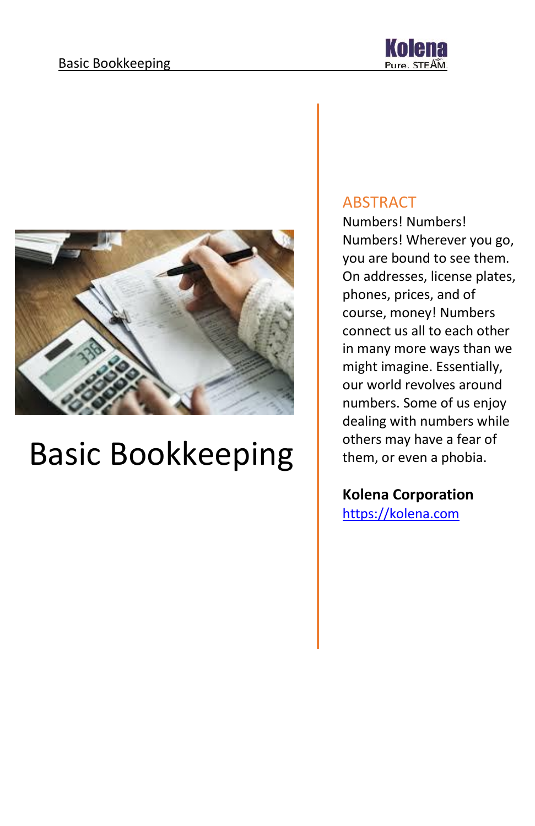



# Basic Bookkeeping

#### ABSTRACT

Numbers! Numbers! Numbers! Wherever you go, you are bound to see them. On addresses, license plates, phones, prices, and of course, money! Numbers connect us all to each other in many more ways than we might imagine. Essentially, our world revolves around numbers. Some of us enjoy dealing with numbers while others may have a fear of them, or even a phobia.

#### **Kolena Corporation**

[https://kolena.com](https://kolena.com/)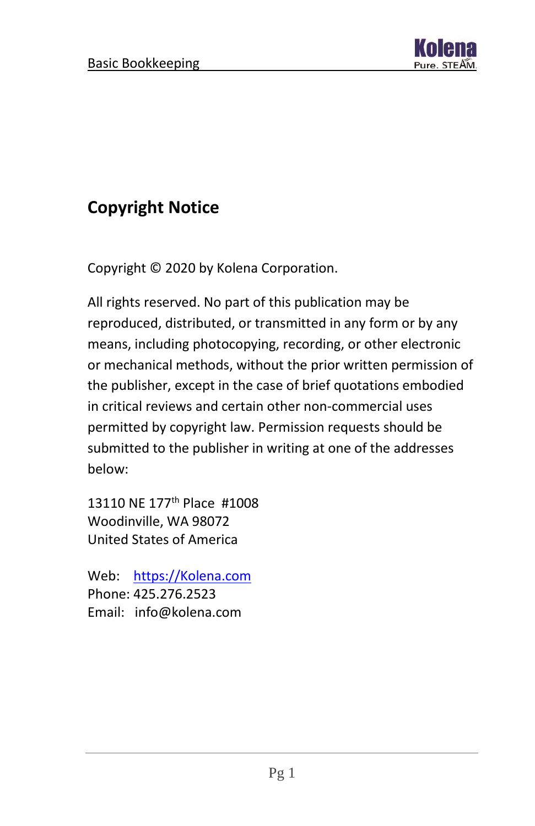

# **Copyright Notice**

Copyright © 2020 by Kolena Corporation.

All rights reserved. No part of this publication may be reproduced, distributed, or transmitted in any form or by any means, including photocopying, recording, or other electronic or mechanical methods, without the prior written permission of the publisher, except in the case of brief quotations embodied in critical reviews and certain other non-commercial uses permitted by copyright law. Permission requests should be submitted to the publisher in writing at one of the addresses below:

13110 NE 177<sup>th</sup> Place #1008 Woodinville, WA 98072 United States of America

Web: [https://Kolena.com](https://kolena.com/) Phone: 425.276.2523 Email: info@kolena.com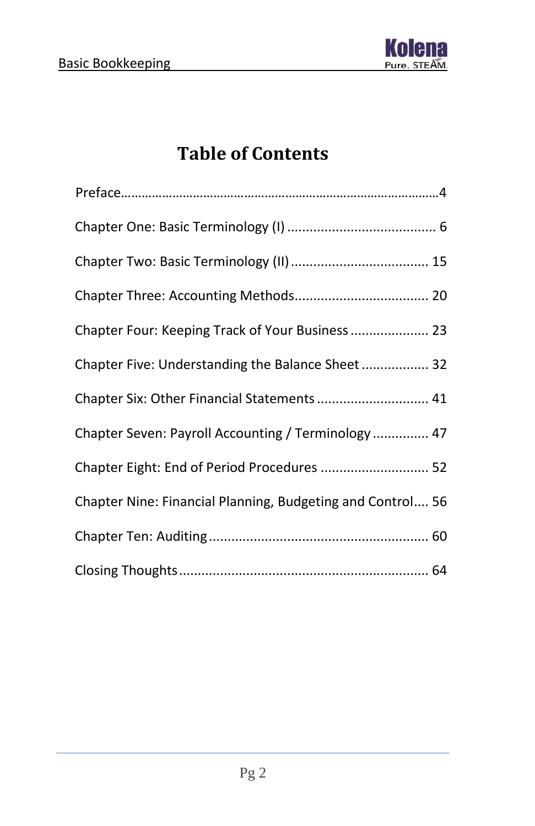

# **Table of Contents**

| Chapter Four: Keeping Track of Your Business  23           |
|------------------------------------------------------------|
| Chapter Five: Understanding the Balance Sheet 32           |
| Chapter Six: Other Financial Statements  41                |
| Chapter Seven: Payroll Accounting / Terminology  47        |
| Chapter Eight: End of Period Procedures  52                |
| Chapter Nine: Financial Planning, Budgeting and Control 56 |
|                                                            |
|                                                            |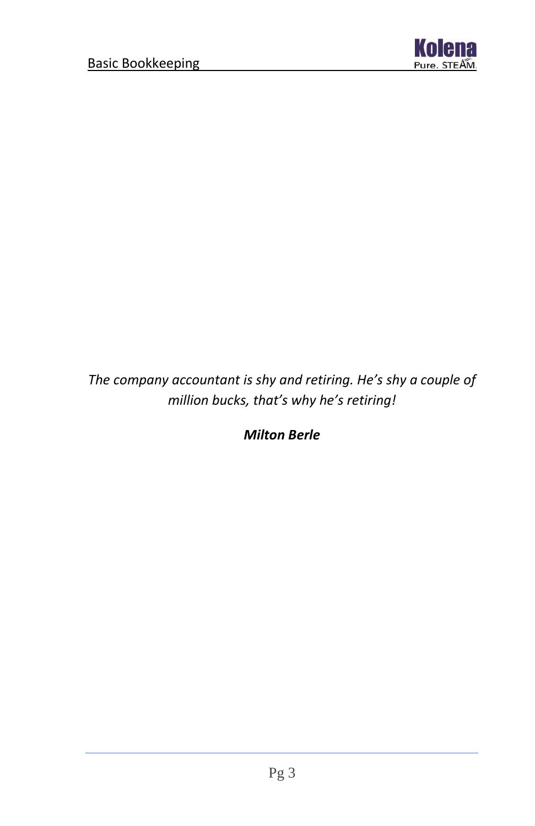

### *The company accountant is shy and retiring. He's shy a couple of million bucks, that's why he's retiring!*

*Milton Berle*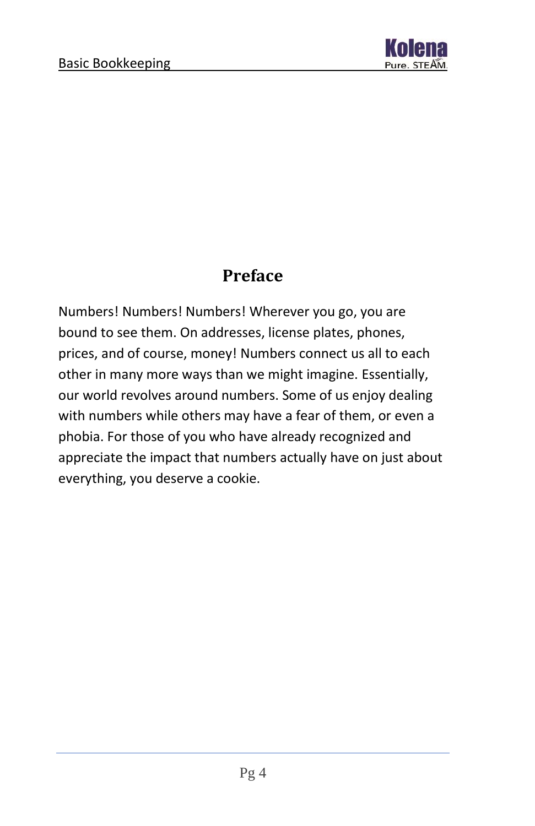

### **Preface**

Numbers! Numbers! Numbers! Wherever you go, you are bound to see them. On addresses, license plates, phones, prices, and of course, money! Numbers connect us all to each other in many more ways than we might imagine. Essentially, our world revolves around numbers. Some of us enjoy dealing with numbers while others may have a fear of them, or even a phobia. For those of you who have already recognized and appreciate the impact that numbers actually have on just about everything, you deserve a cookie.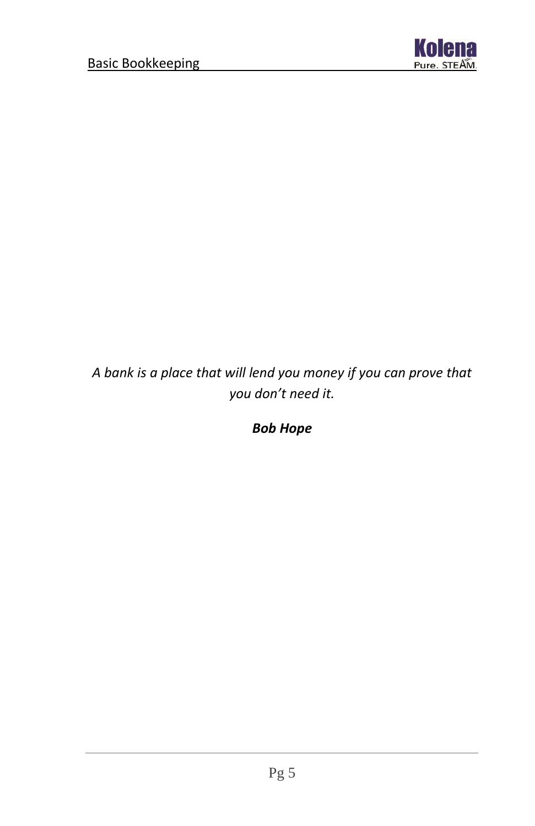

*A bank is a place that will lend you money if you can prove that you don't need it.*

*Bob Hope*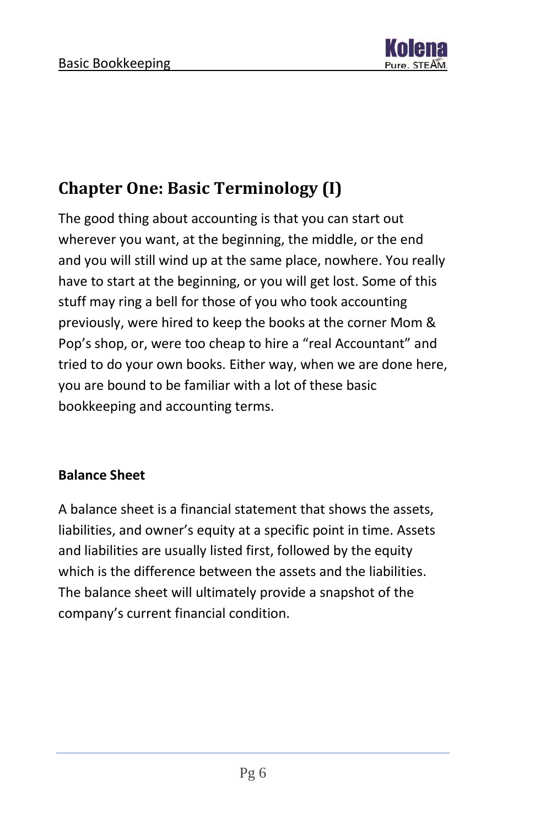

# <span id="page-6-0"></span>**Chapter One: Basic Terminology (I)**

The good thing about accounting is that you can start out wherever you want, at the beginning, the middle, or the end and you will still wind up at the same place, nowhere. You really have to start at the beginning, or you will get lost. Some of this stuff may ring a bell for those of you who took accounting previously, were hired to keep the books at the corner Mom & Pop's shop, or, were too cheap to hire a "real Accountant" and tried to do your own books. Either way, when we are done here, you are bound to be familiar with a lot of these basic bookkeeping and accounting terms.

#### **Balance Sheet**

A balance sheet is a financial statement that shows the assets, liabilities, and owner's equity at a specific point in time. Assets and liabilities are usually listed first, followed by the equity which is the difference between the assets and the liabilities. The balance sheet will ultimately provide a snapshot of the company's current financial condition.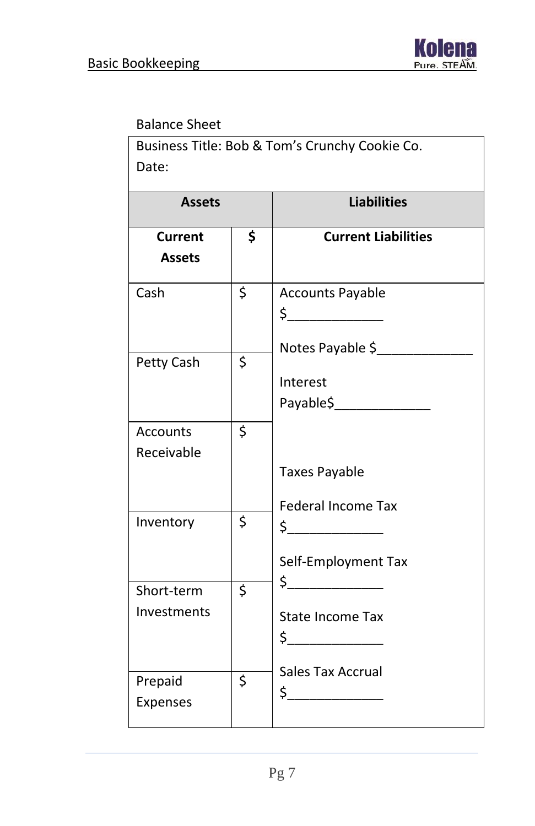#### Balance Sheet

Business Title: Bob & Tom's Crunchy Cookie Co. Date:

| <b>Assets</b>             | <b>Liabilities</b>                                                 |
|---------------------------|--------------------------------------------------------------------|
| Current<br><b>Assets</b>  | \$<br><b>Current Liabilities</b>                                   |
| Cash                      | \$<br><b>Accounts Payable</b><br>$\frac{1}{2}$<br>Notes Payable \$ |
| Petty Cash                | \$<br>Interest<br>Payable\$________________                        |
| Accounts<br>Receivable    | \$<br><b>Taxes Payable</b><br><b>Federal Income Tax</b>            |
| Inventory                 | \$<br>$\frac{1}{2}$<br>Self-Employment Tax                         |
| Short-term<br>Investments | \$<br><b>State Income Tax</b>                                      |
| Prepaid<br>Expenses       | \$<br><b>Sales Tax Accrual</b><br>$\frac{1}{2}$                    |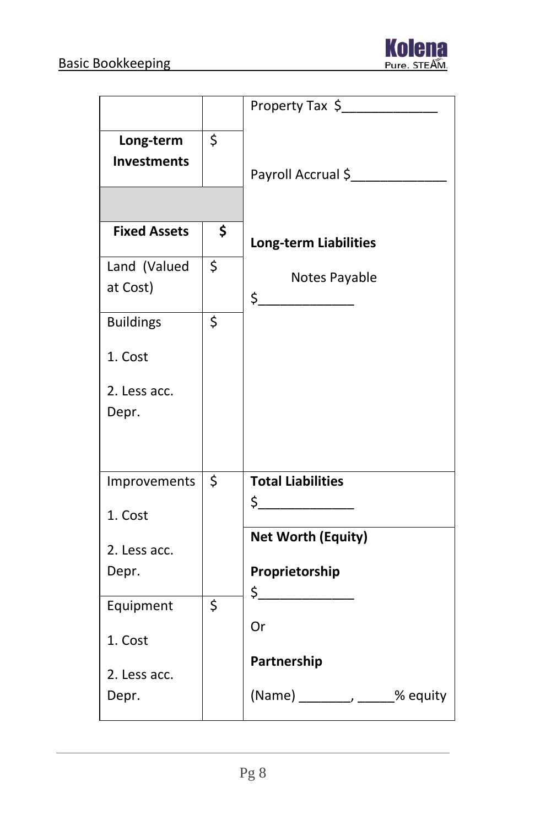

|                                 | Property Tax \$                                                                                                                                                                                                                                                                                                                                                            |
|---------------------------------|----------------------------------------------------------------------------------------------------------------------------------------------------------------------------------------------------------------------------------------------------------------------------------------------------------------------------------------------------------------------------|
| Long-term<br><b>Investments</b> | \$<br>Payroll Accrual \$                                                                                                                                                                                                                                                                                                                                                   |
|                                 |                                                                                                                                                                                                                                                                                                                                                                            |
| <b>Fixed Assets</b>             | \$<br><b>Long-term Liabilities</b>                                                                                                                                                                                                                                                                                                                                         |
| Land (Valued<br>at Cost)        | \$<br>Notes Payable<br>$\begin{picture}(20,20) \put(0,0){\line(1,0){10}} \put(15,0){\line(1,0){10}} \put(15,0){\line(1,0){10}} \put(15,0){\line(1,0){10}} \put(15,0){\line(1,0){10}} \put(15,0){\line(1,0){10}} \put(15,0){\line(1,0){10}} \put(15,0){\line(1,0){10}} \put(15,0){\line(1,0){10}} \put(15,0){\line(1,0){10}} \put(15,0){\line(1,0){10}} \put(15,0){\line(1$ |
| <b>Buildings</b>                | \$                                                                                                                                                                                                                                                                                                                                                                         |
| 1. Cost                         |                                                                                                                                                                                                                                                                                                                                                                            |
| 2. Less acc.                    |                                                                                                                                                                                                                                                                                                                                                                            |
| Depr.                           |                                                                                                                                                                                                                                                                                                                                                                            |
| Improvements                    | \$<br><b>Total Liabilities</b>                                                                                                                                                                                                                                                                                                                                             |
| 1. Cost                         | $\begin{picture}(20,20) \put(0,0){\line(1,0){10}} \put(15,0){\line(1,0){10}} \put(15,0){\line(1,0){10}} \put(15,0){\line(1,0){10}} \put(15,0){\line(1,0){10}} \put(15,0){\line(1,0){10}} \put(15,0){\line(1,0){10}} \put(15,0){\line(1,0){10}} \put(15,0){\line(1,0){10}} \put(15,0){\line(1,0){10}} \put(15,0){\line(1,0){10}} \put(15,0){\line(1$                        |
| 2. Less acc.                    | <b>Net Worth (Equity)</b>                                                                                                                                                                                                                                                                                                                                                  |
| Depr.                           | Proprietorship                                                                                                                                                                                                                                                                                                                                                             |
| Equipment                       | \$                                                                                                                                                                                                                                                                                                                                                                         |
| 1. Cost                         | Or                                                                                                                                                                                                                                                                                                                                                                         |
| 2. Less acc.                    | Partnership                                                                                                                                                                                                                                                                                                                                                                |
| Depr.                           | (Name) _________, _____% equity                                                                                                                                                                                                                                                                                                                                            |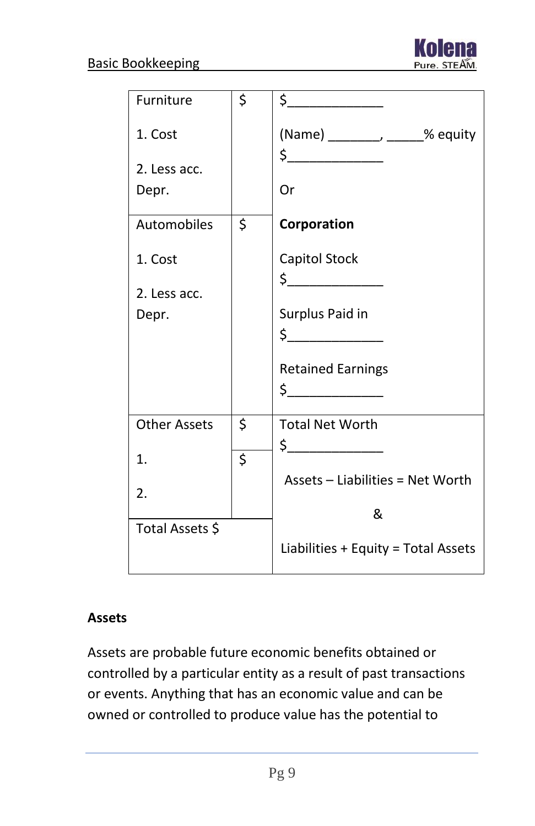

| Furniture           | \$<br>$\frac{1}{2}$                                                                                                                                                                                                                                                                                                                                                                         |
|---------------------|---------------------------------------------------------------------------------------------------------------------------------------------------------------------------------------------------------------------------------------------------------------------------------------------------------------------------------------------------------------------------------------------|
| 1. Cost             | (Name) ________, _____% equity                                                                                                                                                                                                                                                                                                                                                              |
| 2. Less acc.        | $\begin{array}{c c} \n5 & \phantom{1000} & \phantom{1000} & \phantom{1000} & \phantom{1000} & \phantom{1000} & \phantom{1000} & \phantom{1000} & \phantom{1000} & \phantom{1000} & \phantom{1000} & \phantom{1000} & \phantom{1000} & \phantom{1000} & \phantom{1000} & \phantom{1000} & \phantom{1000} & \phantom{1000} & \phantom{1000} & \phantom{1000} & \phantom{1000} & \phantom{100$ |
| Depr.               | Or                                                                                                                                                                                                                                                                                                                                                                                          |
| Automobiles         | \$<br>Corporation                                                                                                                                                                                                                                                                                                                                                                           |
| 1. Cost             | Capitol Stock                                                                                                                                                                                                                                                                                                                                                                               |
| 2. Less acc.        | $\frac{1}{2}$                                                                                                                                                                                                                                                                                                                                                                               |
| Depr.               | Surplus Paid in                                                                                                                                                                                                                                                                                                                                                                             |
|                     | $\begin{picture}(20,20) \put(0,0){\line(1,0){10}} \put(15,0){\line(1,0){10}} \put(15,0){\line(1,0){10}} \put(15,0){\line(1,0){10}} \put(15,0){\line(1,0){10}} \put(15,0){\line(1,0){10}} \put(15,0){\line(1,0){10}} \put(15,0){\line(1,0){10}} \put(15,0){\line(1,0){10}} \put(15,0){\line(1,0){10}} \put(15,0){\line(1,0){10}} \put(15,0){\line(1$                                         |
|                     | <b>Retained Earnings</b>                                                                                                                                                                                                                                                                                                                                                                    |
|                     | $\begin{picture}(20,20) \put(0,0){\line(1,0){10}} \put(15,0){\line(1,0){10}} \put(15,0){\line(1,0){10}} \put(15,0){\line(1,0){10}} \put(15,0){\line(1,0){10}} \put(15,0){\line(1,0){10}} \put(15,0){\line(1,0){10}} \put(15,0){\line(1,0){10}} \put(15,0){\line(1,0){10}} \put(15,0){\line(1,0){10}} \put(15,0){\line(1,0){10}} \put(15,0){\line(1$                                         |
| <b>Other Assets</b> | \$<br><b>Total Net Worth</b>                                                                                                                                                                                                                                                                                                                                                                |
| 1.                  | \$                                                                                                                                                                                                                                                                                                                                                                                          |
| 2.                  | Assets - Liabilities = Net Worth                                                                                                                                                                                                                                                                                                                                                            |
|                     | &                                                                                                                                                                                                                                                                                                                                                                                           |
| Total Assets \$     |                                                                                                                                                                                                                                                                                                                                                                                             |
|                     | Liabilities + Equity = Total Assets                                                                                                                                                                                                                                                                                                                                                         |

#### **Assets**

Assets are probable future economic benefits obtained or controlled by a particular entity as a result of past transactions or events. Anything that has an economic value and can be owned or controlled to produce value has the potential to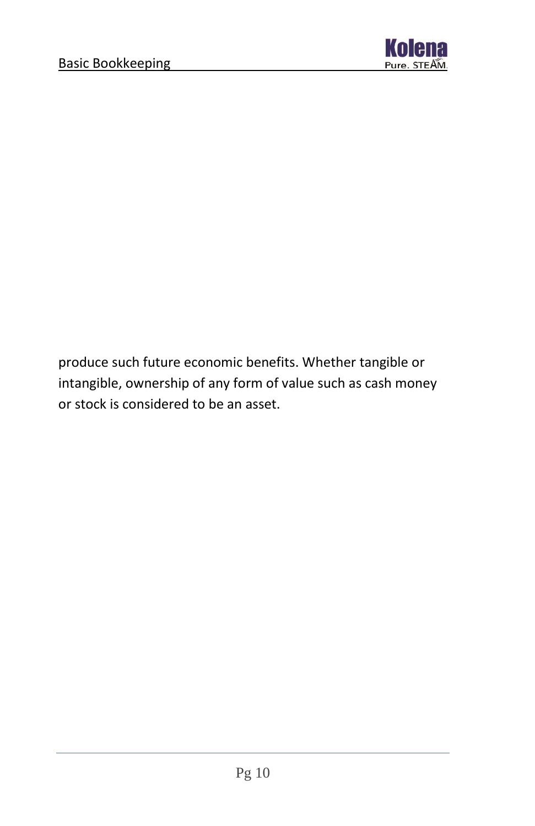

produce such future economic benefits. Whether tangible or intangible, ownership of any form of value such as cash money or stock is considered to be an asset.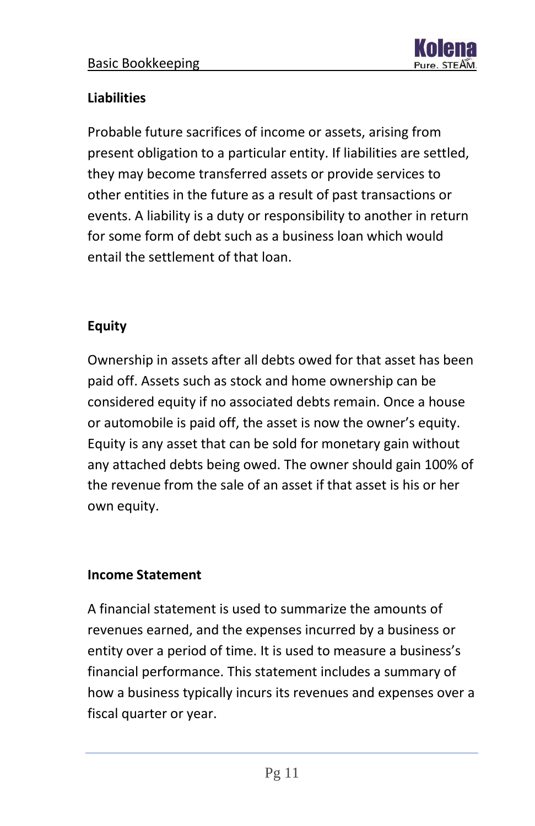

#### **Liabilities**

Probable future sacrifices of income or assets, arising from present obligation to a particular entity. If liabilities are settled, they may become transferred assets or provide services to other entities in the future as a result of past transactions or events. A liability is a duty or responsibility to another in return for some form of debt such as a business loan which would entail the settlement of that loan.

#### **Equity**

Ownership in assets after all debts owed for that asset has been paid off. Assets such as stock and home ownership can be considered equity if no associated debts remain. Once a house or automobile is paid off, the asset is now the owner's equity. Equity is any asset that can be sold for monetary gain without any attached debts being owed. The owner should gain 100% of the revenue from the sale of an asset if that asset is his or her own equity.

#### **Income Statement**

A financial statement is used to summarize the amounts of revenues earned, and the expenses incurred by a business or entity over a period of time. It is used to measure a business's financial performance. This statement includes a summary of how a business typically incurs its revenues and expenses over a fiscal quarter or year.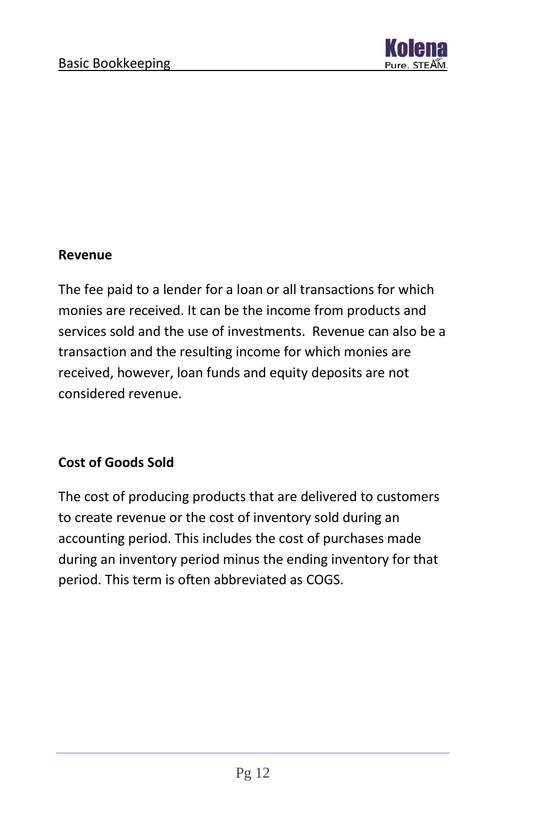

#### **Revenue**

The fee paid to a lender for a loan or all transactions for which monies are received. It can be the income from products and services sold and the use of investments. Revenue can also be a transaction and the resulting income for which monies are received, however, loan funds and equity deposits are not considered revenue.

#### **Cost of Goods Sold**

The cost of producing products that are delivered to customers to create revenue or the cost of inventory sold during an accounting period. This includes the cost of purchases made during an inventory period minus the ending inventory for that period. This term is often abbreviated as COGS.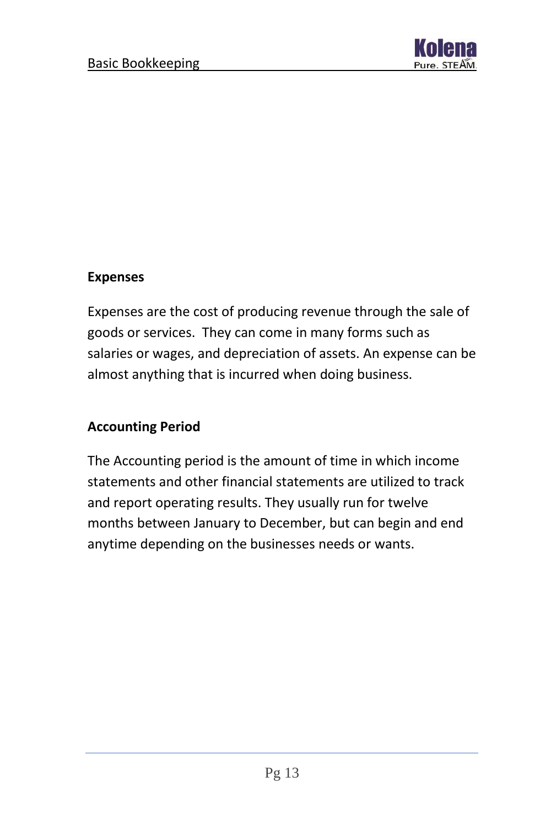

#### **Expenses**

Expenses are the cost of producing revenue through the sale of goods or services. They can come in many forms such as salaries or wages, and depreciation of assets. An expense can be almost anything that is incurred when doing business.

#### **Accounting Period**

The Accounting period is the amount of time in which income statements and other financial statements are utilized to track and report operating results. They usually run for twelve months between January to December, but can begin and end anytime depending on the businesses needs or wants.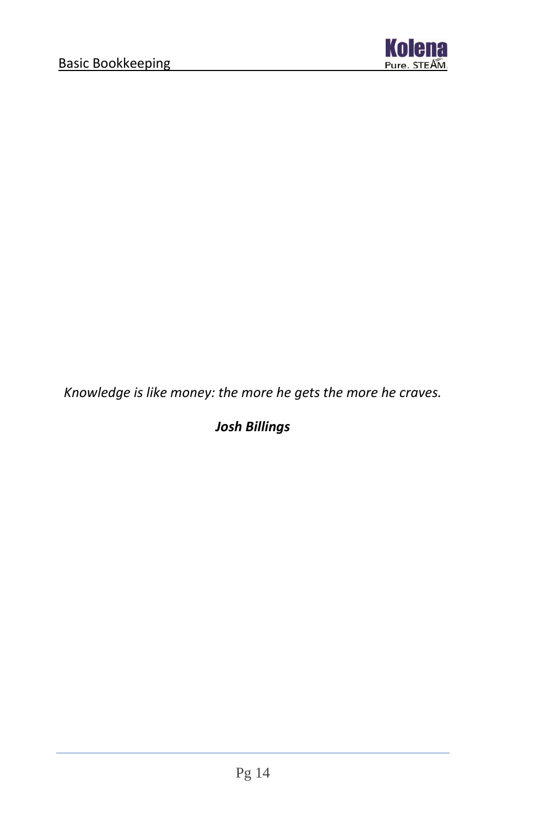

*Knowledge is like money: the more he gets the more he craves.*

*Josh Billings*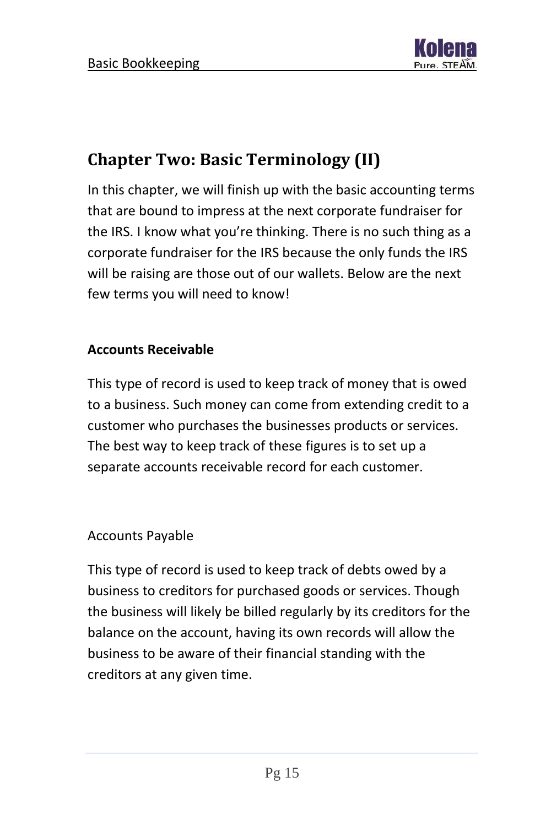

### <span id="page-15-0"></span>**Chapter Two: Basic Terminology (II)**

In this chapter, we will finish up with the basic accounting terms that are bound to impress at the next corporate fundraiser for the IRS. I know what you're thinking. There is no such thing as a corporate fundraiser for the IRS because the only funds the IRS will be raising are those out of our wallets. Below are the next few terms you will need to know!

#### **Accounts Receivable**

This type of record is used to keep track of money that is owed to a business. Such money can come from extending credit to a customer who purchases the businesses products or services. The best way to keep track of these figures is to set up a separate accounts receivable record for each customer.

#### Accounts Payable

This type of record is used to keep track of debts owed by a business to creditors for purchased goods or services. Though the business will likely be billed regularly by its creditors for the balance on the account, having its own records will allow the business to be aware of their financial standing with the creditors at any given time.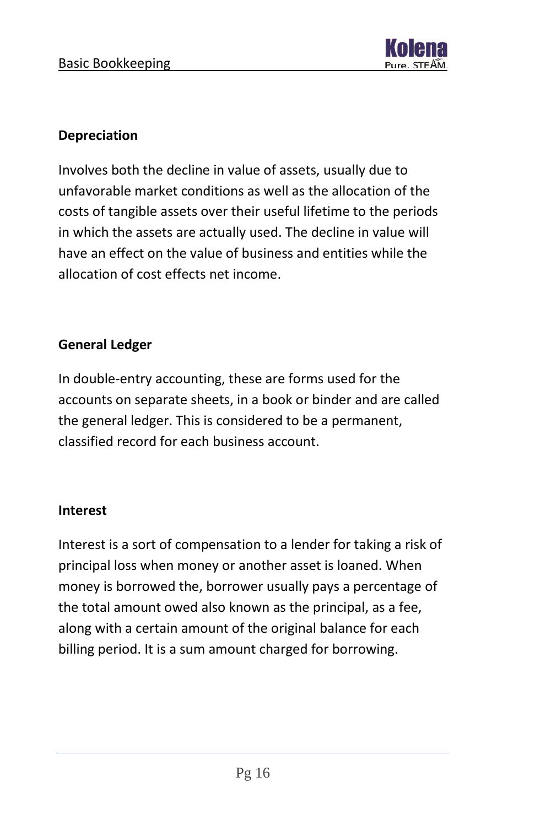

#### **Depreciation**

Involves both the decline in value of assets, usually due to unfavorable market conditions as well as the allocation of the costs of tangible assets over their useful lifetime to the periods in which the assets are actually used. The decline in value will have an effect on the value of business and entities while the allocation of cost effects net income.

#### **General Ledger**

In double-entry accounting, these are forms used for the accounts on separate sheets, in a book or binder and are called the general ledger. This is considered to be a permanent, classified record for each business account.

#### **Interest**

Interest is a sort of compensation to a lender for taking a risk of principal loss when money or another asset is loaned. When money is borrowed the, borrower usually pays a percentage of the total amount owed also known as the principal, as a fee, along with a certain amount of the original balance for each billing period. It is a sum amount charged for borrowing.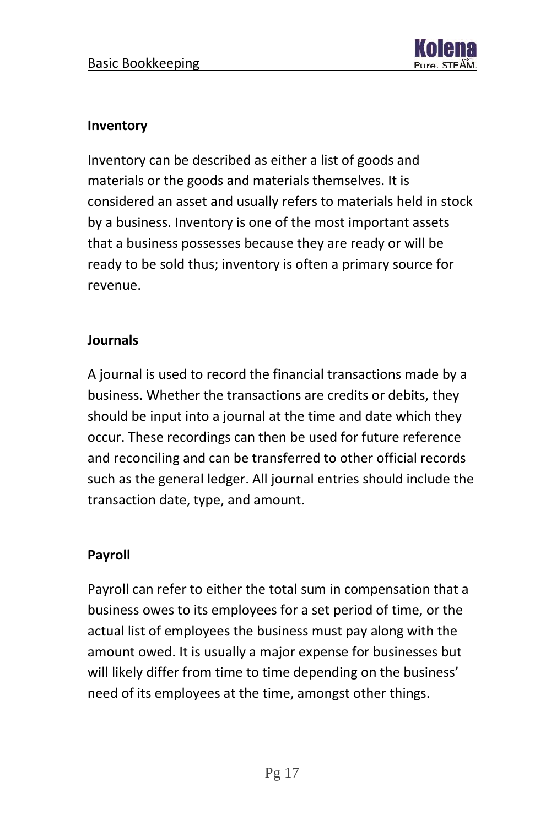

#### **Inventory**

Inventory can be described as either a list of goods and materials or the goods and materials themselves. It is considered an asset and usually refers to materials held in stock by a business. Inventory is one of the most important assets that a business possesses because they are ready or will be ready to be sold thus; inventory is often a primary source for revenue.

#### **Journals**

A journal is used to record the financial transactions made by a business. Whether the transactions are credits or debits, they should be input into a journal at the time and date which they occur. These recordings can then be used for future reference and reconciling and can be transferred to other official records such as the general ledger. All journal entries should include the transaction date, type, and amount.

#### **Payroll**

Payroll can refer to either the total sum in compensation that a business owes to its employees for a set period of time, or the actual list of employees the business must pay along with the amount owed. It is usually a major expense for businesses but will likely differ from time to time depending on the business' need of its employees at the time, amongst other things.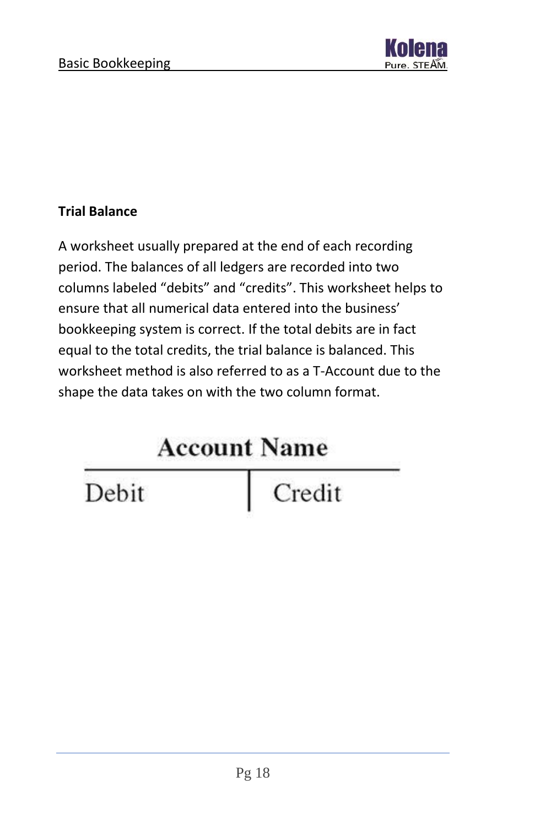

#### **Trial Balance**

A worksheet usually prepared at the end of each recording period. The balances of all ledgers are recorded into two columns labeled "debits" and "credits". This worksheet helps to ensure that all numerical data entered into the business' bookkeeping system is correct. If the total debits are in fact equal to the total credits, the trial balance is balanced. This worksheet method is also referred to as a T-Account due to the shape the data takes on with the two column format.

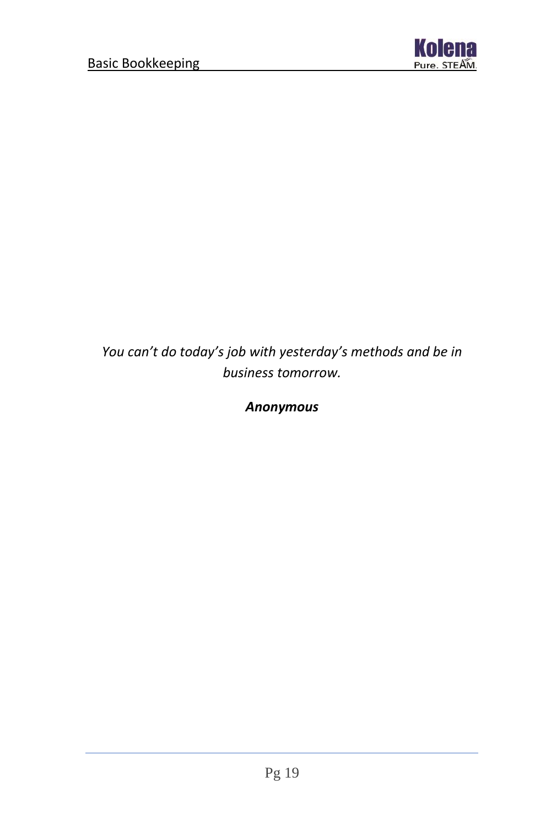

*You can't do today's job with yesterday's methods and be in business tomorrow.*

*Anonymous*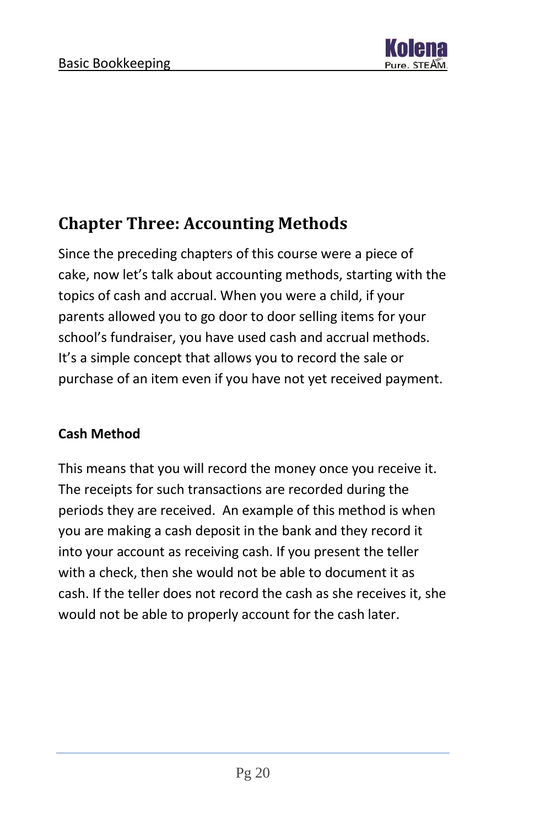

### <span id="page-20-0"></span>**Chapter Three: Accounting Methods**

Since the preceding chapters of this course were a piece of cake, now let's talk about accounting methods, starting with the topics of cash and accrual. When you were a child, if your parents allowed you to go door to door selling items for your school's fundraiser, you have used cash and accrual methods. It's a simple concept that allows you to record the sale or purchase of an item even if you have not yet received payment.

#### **Cash Method**

This means that you will record the money once you receive it. The receipts for such transactions are recorded during the periods they are received. An example of this method is when you are making a cash deposit in the bank and they record it into your account as receiving cash. If you present the teller with a check, then she would not be able to document it as cash. If the teller does not record the cash as she receives it, she would not be able to properly account for the cash later.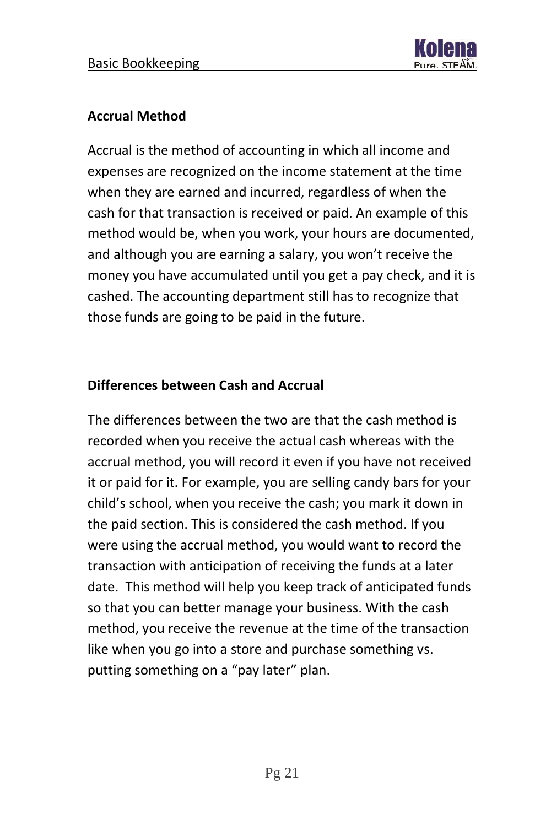

#### **Accrual Method**

Accrual is the method of accounting in which all income and expenses are recognized on the income statement at the time when they are earned and incurred, regardless of when the cash for that transaction is received or paid. An example of this method would be, when you work, your hours are documented, and although you are earning a salary, you won't receive the money you have accumulated until you get a pay check, and it is cashed. The accounting department still has to recognize that those funds are going to be paid in the future.

#### **Differences between Cash and Accrual**

The differences between the two are that the cash method is recorded when you receive the actual cash whereas with the accrual method, you will record it even if you have not received it or paid for it. For example, you are selling candy bars for your child's school, when you receive the cash; you mark it down in the paid section. This is considered the cash method. If you were using the accrual method, you would want to record the transaction with anticipation of receiving the funds at a later date. This method will help you keep track of anticipated funds so that you can better manage your business. With the cash method, you receive the revenue at the time of the transaction like when you go into a store and purchase something vs. putting something on a "pay later" plan.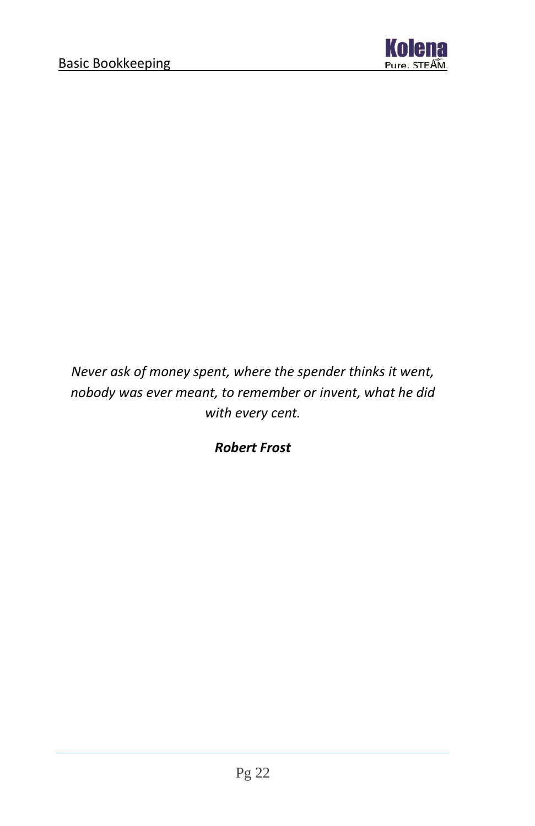

*Never ask of money spent, where the spender thinks it went, nobody was ever meant, to remember or invent, what he did with every cent.*

*Robert Frost*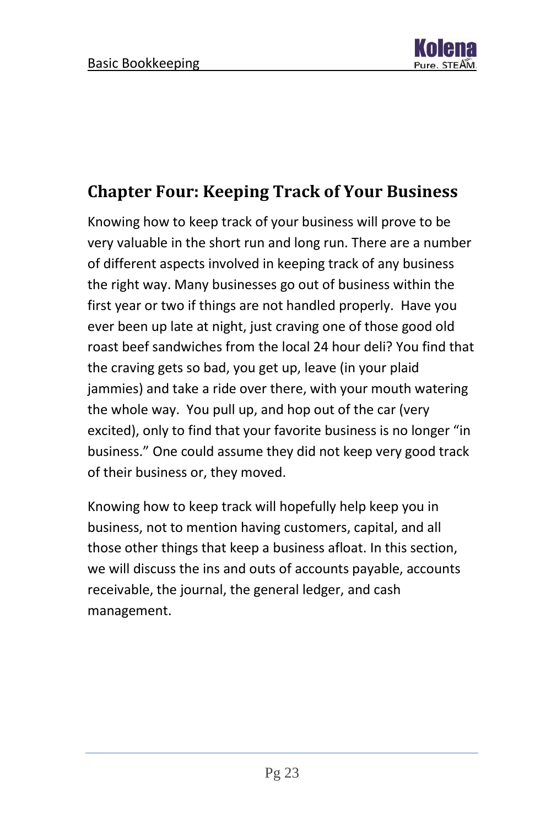

### <span id="page-23-0"></span>**Chapter Four: Keeping Track of Your Business**

Knowing how to keep track of your business will prove to be very valuable in the short run and long run. There are a number of different aspects involved in keeping track of any business the right way. Many businesses go out of business within the first year or two if things are not handled properly. Have you ever been up late at night, just craving one of those good old roast beef sandwiches from the local 24 hour deli? You find that the craving gets so bad, you get up, leave (in your plaid jammies) and take a ride over there, with your mouth watering the whole way. You pull up, and hop out of the car (very excited), only to find that your favorite business is no longer "in business." One could assume they did not keep very good track of their business or, they moved.

Knowing how to keep track will hopefully help keep you in business, not to mention having customers, capital, and all those other things that keep a business afloat. In this section, we will discuss the ins and outs of accounts payable, accounts receivable, the journal, the general ledger, and cash management.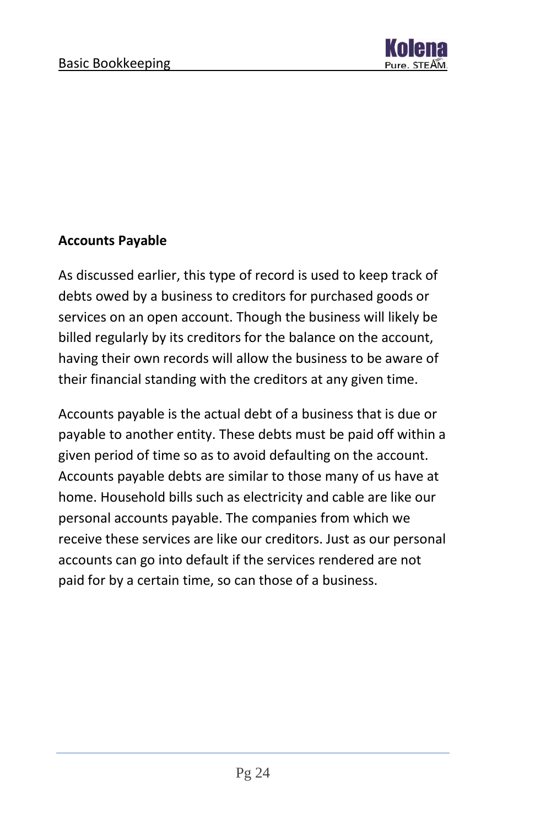

#### **Accounts Payable**

As discussed earlier, this type of record is used to keep track of debts owed by a business to creditors for purchased goods or services on an open account. Though the business will likely be billed regularly by its creditors for the balance on the account, having their own records will allow the business to be aware of their financial standing with the creditors at any given time.

Accounts payable is the actual debt of a business that is due or payable to another entity. These debts must be paid off within a given period of time so as to avoid defaulting on the account. Accounts payable debts are similar to those many of us have at home. Household bills such as electricity and cable are like our personal accounts payable. The companies from which we receive these services are like our creditors. Just as our personal accounts can go into default if the services rendered are not paid for by a certain time, so can those of a business.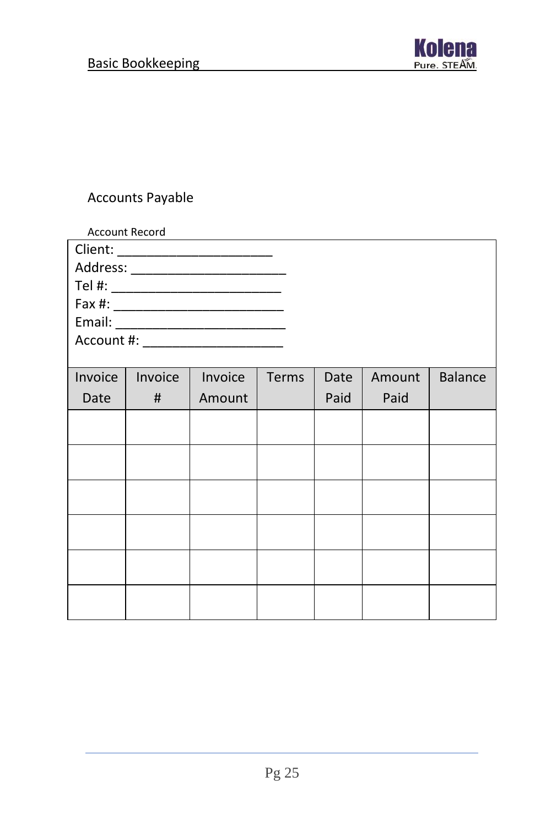

#### Accounts Payable

|         | <b>Account Record</b> |                                      |       |      |        |                |
|---------|-----------------------|--------------------------------------|-------|------|--------|----------------|
|         |                       | Client: __________________________   |       |      |        |                |
|         |                       | Address: _________________________   |       |      |        |                |
|         |                       |                                      |       |      |        |                |
|         |                       |                                      |       |      |        |                |
|         |                       |                                      |       |      |        |                |
|         |                       | Account #: _________________________ |       |      |        |                |
|         |                       |                                      |       |      |        |                |
| Invoice | Invoice               | Invoice                              | Terms | Date | Amount | <b>Balance</b> |
| Date    | #                     | Amount                               |       | Paid | Paid   |                |
|         |                       |                                      |       |      |        |                |
|         |                       |                                      |       |      |        |                |
|         |                       |                                      |       |      |        |                |
|         |                       |                                      |       |      |        |                |
|         |                       |                                      |       |      |        |                |
|         |                       |                                      |       |      |        |                |
|         |                       |                                      |       |      |        |                |
|         |                       |                                      |       |      |        |                |
|         |                       |                                      |       |      |        |                |
|         |                       |                                      |       |      |        |                |
|         |                       |                                      |       |      |        |                |
|         |                       |                                      |       |      |        |                |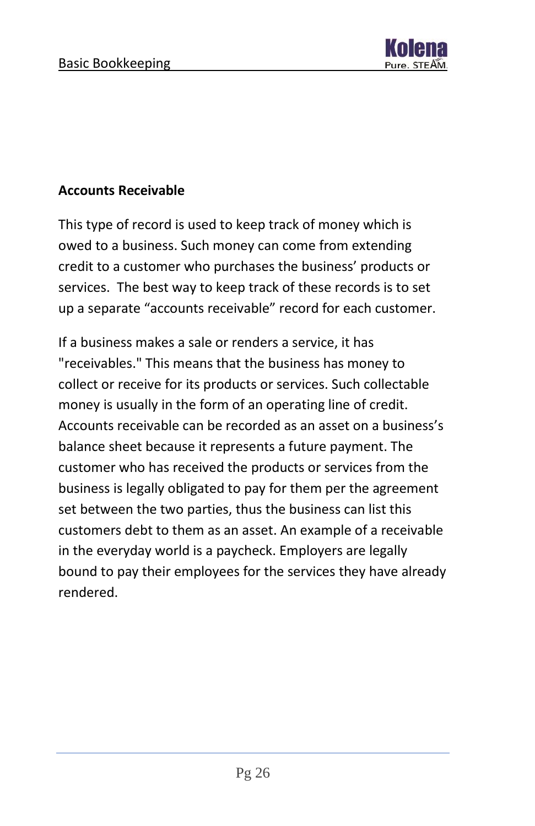

#### **Accounts Receivable**

This type of record is used to keep track of money which is owed to a business. Such money can come from extending credit to a customer who purchases the business' products or services. The best way to keep track of these records is to set up a separate "accounts receivable" record for each customer.

If a business makes a sale or renders a service, it has "receivables." This means that the business has money to collect or receive for its products or services. Such collectable money is usually in the form of an operating line of credit. Accounts receivable can be recorded as an asset on a business's balance sheet because it represents a future payment. The customer who has received the products or services from the business is legally obligated to pay for them per the agreement set between the two parties, thus the business can list this customers debt to them as an asset. An example of a receivable in the everyday world is a paycheck. Employers are legally bound to pay their employees for the services they have already rendered.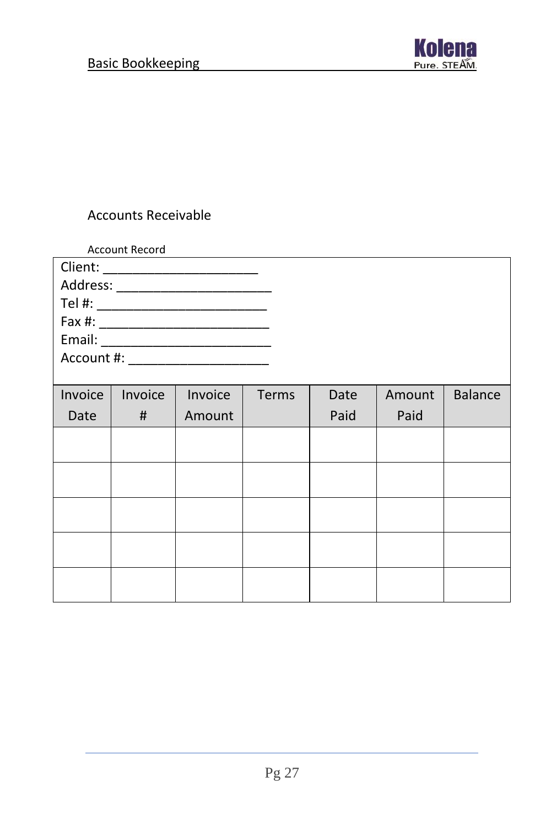

#### Accounts Receivable

|         | <b>Account Record</b> |                                      |       |      |        |                |
|---------|-----------------------|--------------------------------------|-------|------|--------|----------------|
|         |                       | Client: _______________________      |       |      |        |                |
|         |                       |                                      |       |      |        |                |
|         |                       |                                      |       |      |        |                |
|         |                       |                                      |       |      |        |                |
|         |                       |                                      |       |      |        |                |
|         |                       | Account #: _________________________ |       |      |        |                |
|         |                       |                                      |       |      |        |                |
| Invoice | Invoice               | Invoice                              | Terms | Date | Amount | <b>Balance</b> |
| Date    | #                     | Amount                               |       | Paid | Paid   |                |
|         |                       |                                      |       |      |        |                |
|         |                       |                                      |       |      |        |                |
|         |                       |                                      |       |      |        |                |
|         |                       |                                      |       |      |        |                |
|         |                       |                                      |       |      |        |                |
|         |                       |                                      |       |      |        |                |
|         |                       |                                      |       |      |        |                |
|         |                       |                                      |       |      |        |                |
|         |                       |                                      |       |      |        |                |
|         |                       |                                      |       |      |        |                |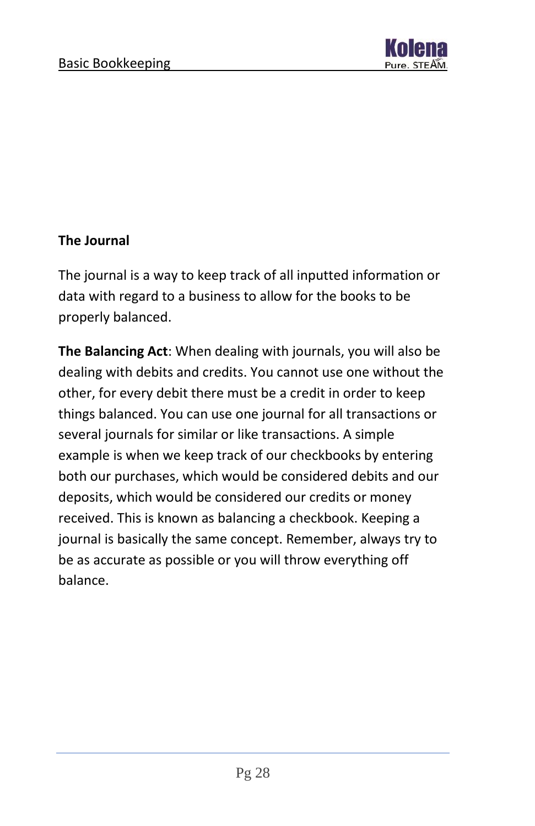

#### **The Journal**

The journal is a way to keep track of all inputted information or data with regard to a business to allow for the books to be properly balanced.

**The Balancing Act**: When dealing with journals, you will also be dealing with debits and credits. You cannot use one without the other, for every debit there must be a credit in order to keep things balanced. You can use one journal for all transactions or several journals for similar or like transactions. A simple example is when we keep track of our checkbooks by entering both our purchases, which would be considered debits and our deposits, which would be considered our credits or money received. This is known as balancing a checkbook. Keeping a journal is basically the same concept. Remember, always try to be as accurate as possible or you will throw everything off balance.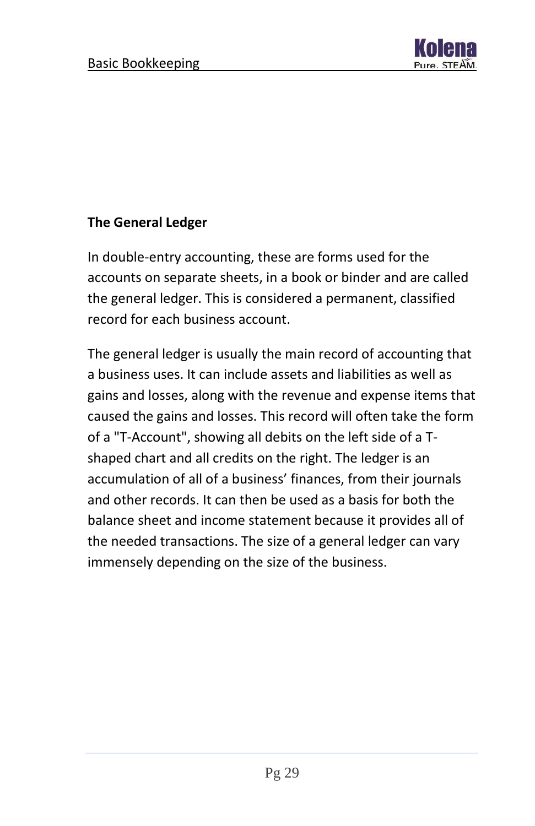

#### **The General Ledger**

In double-entry accounting, these are forms used for the accounts on separate sheets, in a book or binder and are called the general ledger. This is considered a permanent, classified record for each business account.

The general ledger is usually the main record of accounting that a business uses. It can include assets and liabilities as well as gains and losses, along with the revenue and expense items that caused the gains and losses. This record will often take the form of a "T-Account", showing all debits on the left side of a Tshaped chart and all credits on the right. The ledger is an accumulation of all of a business' finances, from their journals and other records. It can then be used as a basis for both the balance sheet and income statement because it provides all of the needed transactions. The size of a general ledger can vary immensely depending on the size of the business.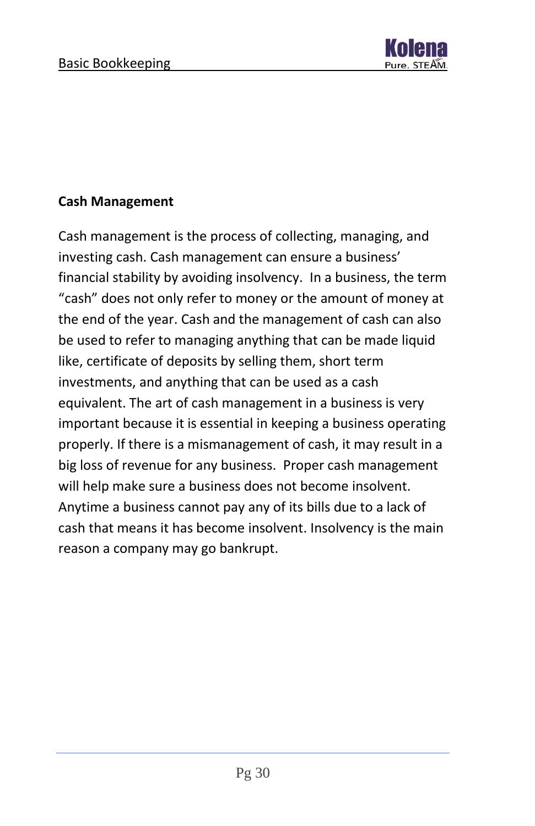

#### **Cash Management**

Cash management is the process of collecting, managing, and investing cash. Cash management can ensure a business' financial stability by avoiding insolvency. In a business, the term "cash" does not only refer to money or the amount of money at the end of the year. Cash and the management of cash can also be used to refer to managing anything that can be made liquid like, certificate of deposits by selling them, short term investments, and anything that can be used as a cash equivalent. The art of cash management in a business is very important because it is essential in keeping a business operating properly. If there is a mismanagement of cash, it may result in a big loss of revenue for any business. Proper cash management will help make sure a business does not become insolvent. Anytime a business cannot pay any of its bills due to a lack of cash that means it has become insolvent. Insolvency is the main reason a company may go bankrupt.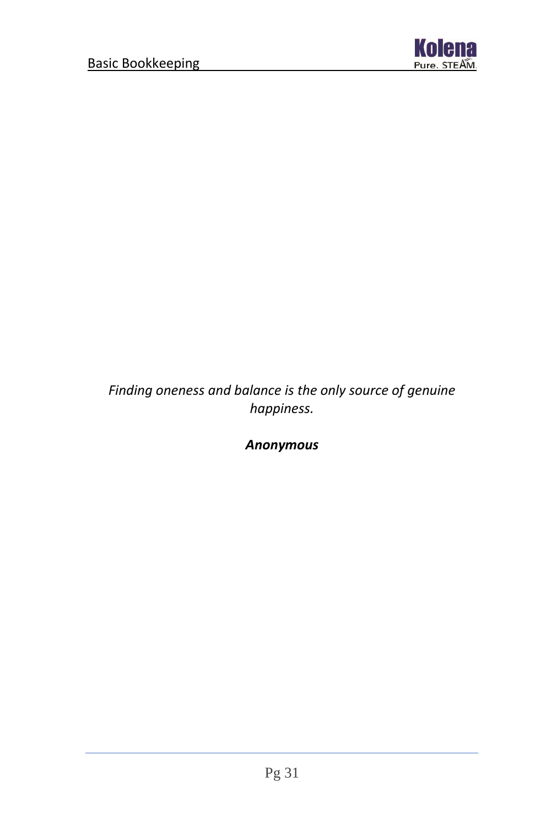

*Finding oneness and balance is the only source of genuine happiness.*

*Anonymous*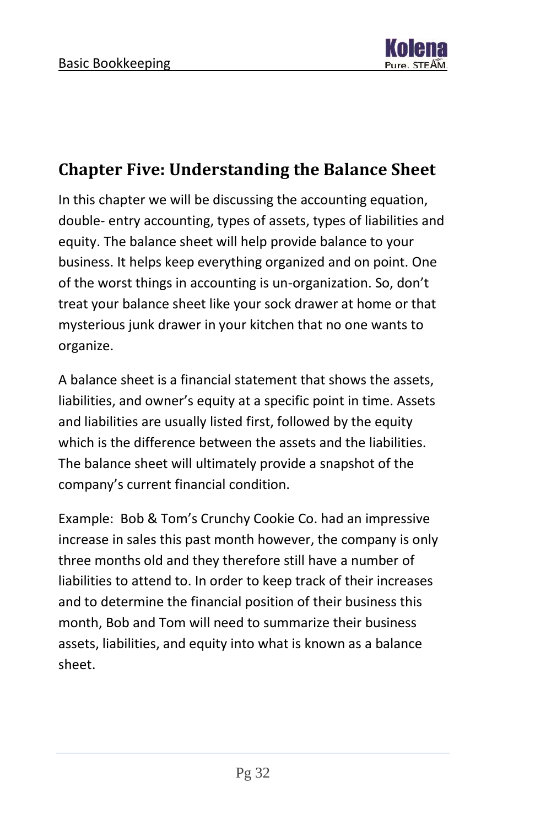

### <span id="page-32-0"></span>**Chapter Five: Understanding the Balance Sheet**

In this chapter we will be discussing the accounting equation, double- entry accounting, types of assets, types of liabilities and equity. The balance sheet will help provide balance to your business. It helps keep everything organized and on point. One of the worst things in accounting is un-organization. So, don't treat your balance sheet like your sock drawer at home or that mysterious junk drawer in your kitchen that no one wants to organize.

A balance sheet is a financial statement that shows the assets, liabilities, and owner's equity at a specific point in time. Assets and liabilities are usually listed first, followed by the equity which is the difference between the assets and the liabilities. The balance sheet will ultimately provide a snapshot of the company's current financial condition.

Example: Bob & Tom's Crunchy Cookie Co. had an impressive increase in sales this past month however, the company is only three months old and they therefore still have a number of liabilities to attend to. In order to keep track of their increases and to determine the financial position of their business this month, Bob and Tom will need to summarize their business assets, liabilities, and equity into what is known as a balance sheet.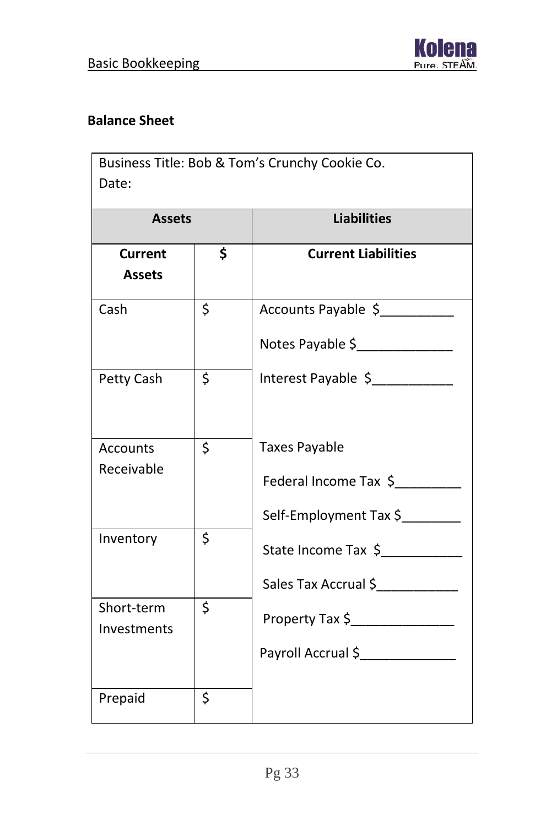

#### **Balance Sheet**

| Business Title: Bob & Tom's Crunchy Cookie Co.<br>Date: |                         |                                                                         |  |  |
|---------------------------------------------------------|-------------------------|-------------------------------------------------------------------------|--|--|
| <b>Assets</b>                                           |                         | <b>Liabilities</b>                                                      |  |  |
| <b>Current</b><br><b>Assets</b>                         | \$                      | <b>Current Liabilities</b>                                              |  |  |
| Cash                                                    | \$                      | Accounts Payable \$<br>Notes Payable \$                                 |  |  |
| Petty Cash                                              | \$                      | Interest Payable \$                                                     |  |  |
| <b>Accounts</b><br>Receivable                           | \$                      | <b>Taxes Payable</b><br>Federal Income Tax \$<br>Self-Employment Tax \$ |  |  |
| Inventory                                               | $\overline{\mathsf{S}}$ | State Income Tax \$<br>Sales Tax Accrual \$                             |  |  |
| Short-term<br>Investments                               | \$                      | Property Tax \$_______________<br>Payroll Accrual \$_______________     |  |  |
| Prepaid                                                 | \$                      |                                                                         |  |  |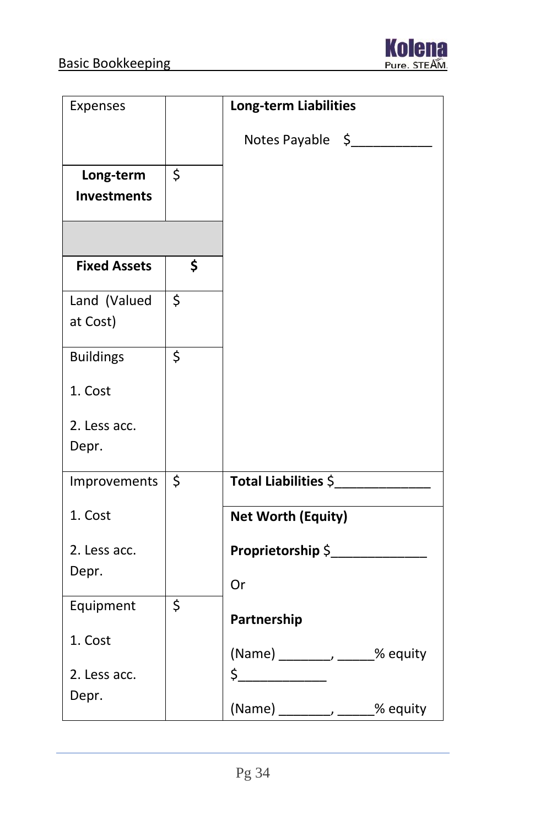

| Expenses            |         | <b>Long-term Liabilities</b>     |
|---------------------|---------|----------------------------------|
|                     |         | Notes Payable \$                 |
| Long-term           | \$      |                                  |
| <b>Investments</b>  |         |                                  |
|                     |         |                                  |
| <b>Fixed Assets</b> | \$      |                                  |
| Land (Valued        | $\zeta$ |                                  |
| at Cost)            |         |                                  |
| <b>Buildings</b>    | \$      |                                  |
| 1. Cost             |         |                                  |
| 2. Less acc.        |         |                                  |
| Depr.               |         |                                  |
| Improvements        | \$      | Total Liabilities \$             |
| 1. Cost             |         | <b>Net Worth (Equity)</b>        |
| 2. Less acc.        |         | Proprietorship \$                |
| Depr.               |         | Or                               |
| Equipment           | \$      |                                  |
|                     |         | Partnership                      |
| 1. Cost             |         | (Name) _________, ______% equity |
| 2. Less acc.        |         | $\frac{1}{2}$                    |
| Depr.               |         | (Name) __________ ______% equity |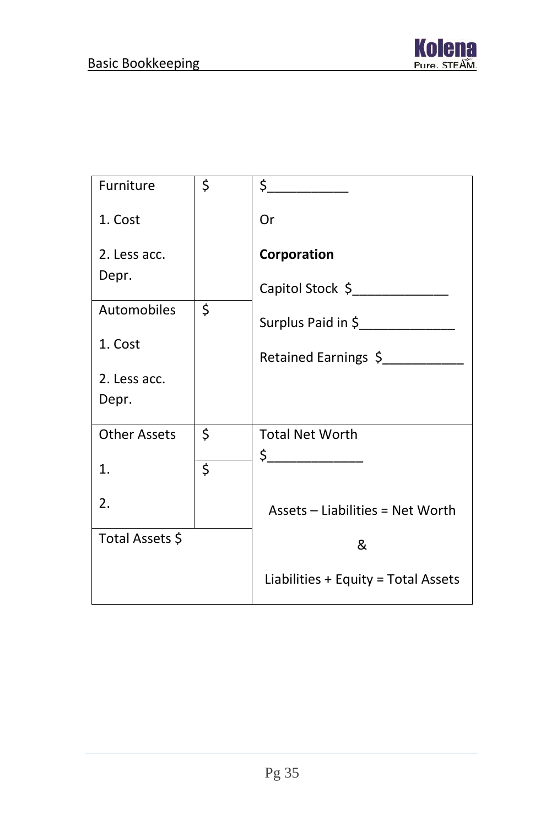

| Furniture           | \$<br>$\frac{1}{2}$                 |
|---------------------|-------------------------------------|
| 1. Cost             | Or                                  |
| 2. Less acc.        | Corporation                         |
| Depr.               | Capitol Stock \$                    |
| Automobiles         | \$<br>Surplus Paid in \$            |
| 1. Cost             | Retained Earnings \$                |
| 2. Less acc.        |                                     |
| Depr.               |                                     |
| <b>Other Assets</b> | \$<br><b>Total Net Worth</b>        |
| 1.                  | \$<br>$\frac{1}{2}$                 |
| 2.                  |                                     |
|                     | Assets - Liabilities = Net Worth    |
| Total Assets \$     | &                                   |
|                     | Liabilities + Equity = Total Assets |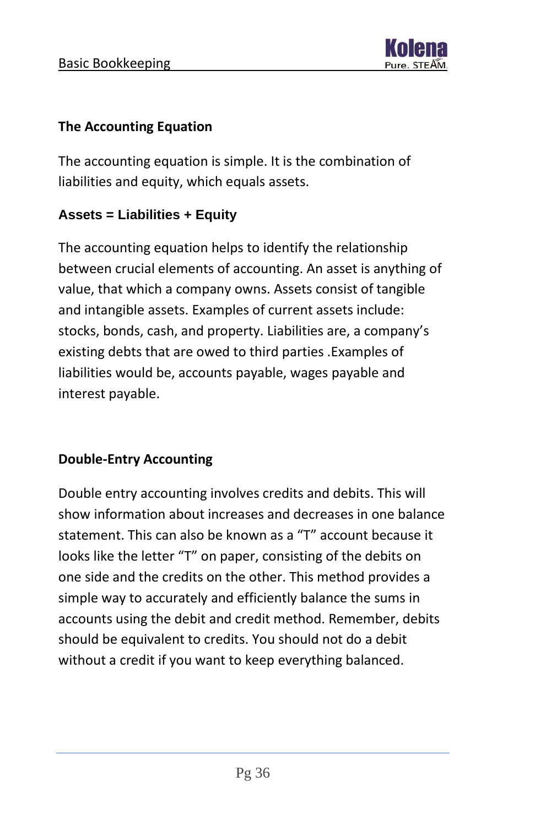

#### **The Accounting Equation**

The accounting equation is simple. It is the combination of liabilities and equity, which equals assets.

#### **Assets = Liabilities + Equity**

The accounting equation helps to identify the relationship between crucial elements of accounting. An asset is anything of value, that which a company owns. Assets consist of tangible and intangible assets. Examples of current assets include: stocks, bonds, cash, and property. Liabilities are, a company's existing debts that are owed to third parties .Examples of liabilities would be, accounts payable, wages payable and interest payable.

#### **Double-Entry Accounting**

Double entry accounting involves credits and debits. This will show information about increases and decreases in one balance statement. This can also be known as a "T" account because it looks like the letter "T" on paper, consisting of the debits on one side and the credits on the other. This method provides a simple way to accurately and efficiently balance the sums in accounts using the debit and credit method. Remember, debits should be equivalent to credits. You should not do a debit without a credit if you want to keep everything balanced.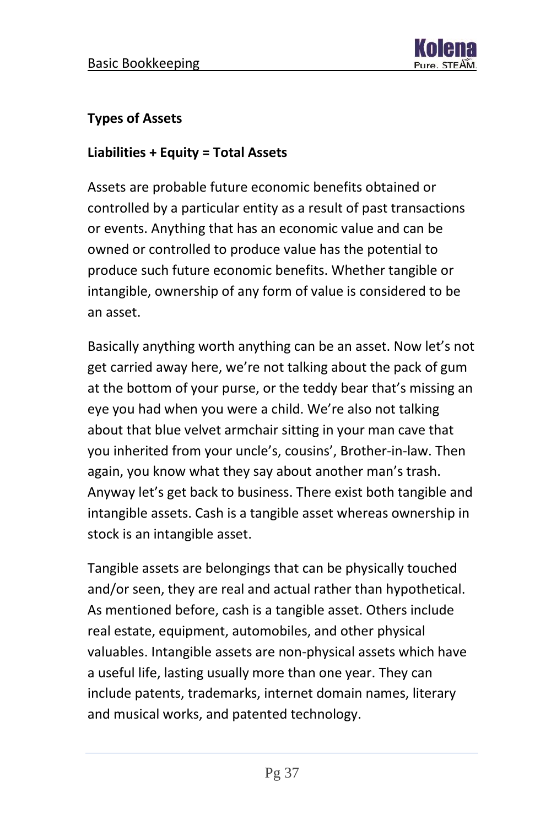

#### **Types of Assets**

#### **Liabilities + Equity = Total Assets**

Assets are probable future economic benefits obtained or controlled by a particular entity as a result of past transactions or events. Anything that has an economic value and can be owned or controlled to produce value has the potential to produce such future economic benefits. Whether tangible or intangible, ownership of any form of value is considered to be an asset.

Basically anything worth anything can be an asset. Now let's not get carried away here, we're not talking about the pack of gum at the bottom of your purse, or the teddy bear that's missing an eye you had when you were a child. We're also not talking about that blue velvet armchair sitting in your man cave that you inherited from your uncle's, cousins', Brother-in-law. Then again, you know what they say about another man's trash. Anyway let's get back to business. There exist both tangible and intangible assets. Cash is a tangible asset whereas ownership in stock is an intangible asset.

Tangible assets are belongings that can be physically touched and/or seen, they are real and actual rather than hypothetical. As mentioned before, cash is a tangible asset. Others include real estate, equipment, automobiles, and other physical valuables. Intangible assets are non-physical assets which have a useful life, lasting usually more than one year. They can include patents, trademarks, internet domain names, literary and musical works, and patented technology.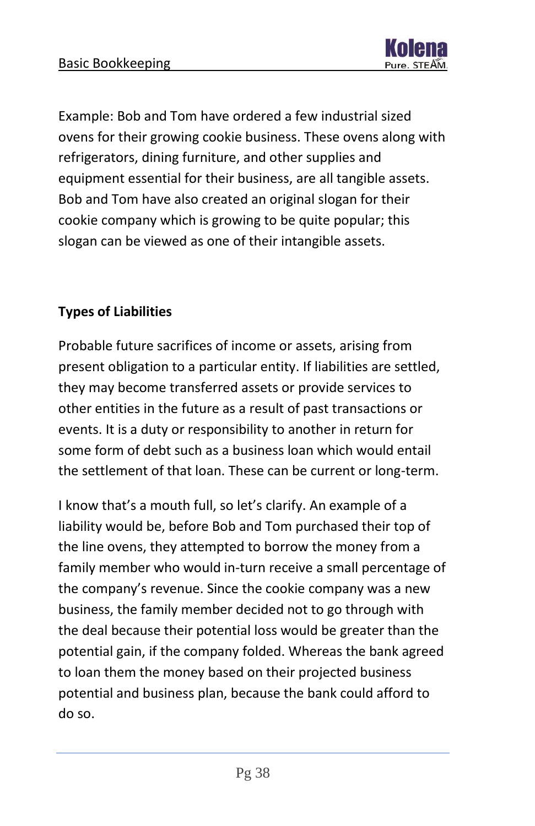

Example: Bob and Tom have ordered a few industrial sized ovens for their growing cookie business. These ovens along with refrigerators, dining furniture, and other supplies and equipment essential for their business, are all tangible assets. Bob and Tom have also created an original slogan for their cookie company which is growing to be quite popular; this slogan can be viewed as one of their intangible assets.

#### **Types of Liabilities**

Probable future sacrifices of income or assets, arising from present obligation to a particular entity. If liabilities are settled, they may become transferred assets or provide services to other entities in the future as a result of past transactions or events. It is a duty or responsibility to another in return for some form of debt such as a business loan which would entail the settlement of that loan. These can be current or long-term.

I know that's a mouth full, so let's clarify. An example of a liability would be, before Bob and Tom purchased their top of the line ovens, they attempted to borrow the money from a family member who would in-turn receive a small percentage of the company's revenue. Since the cookie company was a new business, the family member decided not to go through with the deal because their potential loss would be greater than the potential gain, if the company folded. Whereas the bank agreed to loan them the money based on their projected business potential and business plan, because the bank could afford to do so.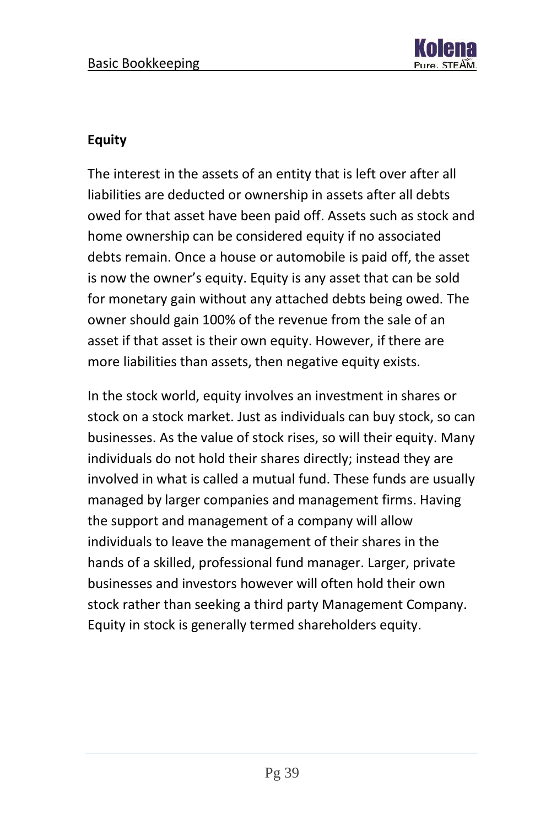

#### **Equity**

The interest in the assets of an entity that is left over after all liabilities are deducted or ownership in assets after all debts owed for that asset have been paid off. Assets such as stock and home ownership can be considered equity if no associated debts remain. Once a house or automobile is paid off, the asset is now the owner's equity. Equity is any asset that can be sold for monetary gain without any attached debts being owed. The owner should gain 100% of the revenue from the sale of an asset if that asset is their own equity. However, if there are more liabilities than assets, then negative equity exists.

In the stock world, equity involves an investment in shares or stock on a stock market. Just as individuals can buy stock, so can businesses. As the value of stock rises, so will their equity. Many individuals do not hold their shares directly; instead they are involved in what is called a mutual fund. These funds are usually managed by larger companies and management firms. Having the support and management of a company will allow individuals to leave the management of their shares in the hands of a skilled, professional fund manager. Larger, private businesses and investors however will often hold their own stock rather than seeking a third party Management Company. Equity in stock is generally termed shareholders equity.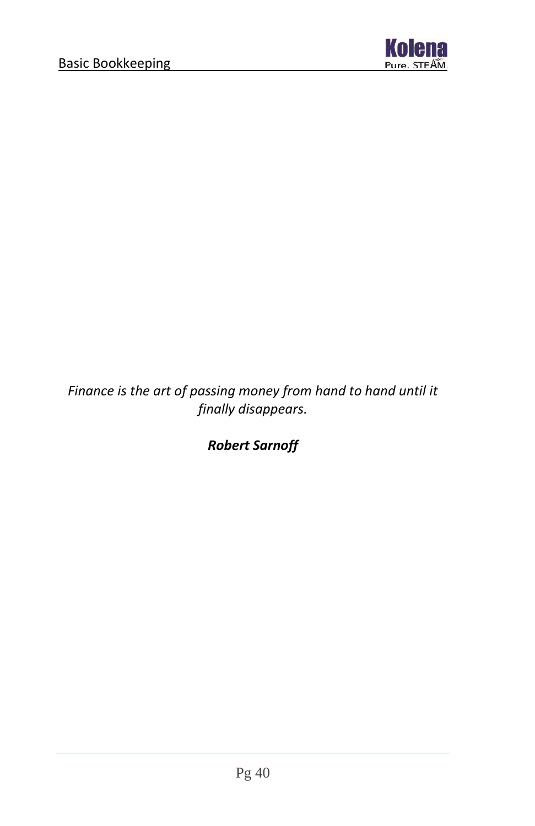

*Finance is the art of passing money from hand to hand until it finally disappears.*

*Robert Sarnoff*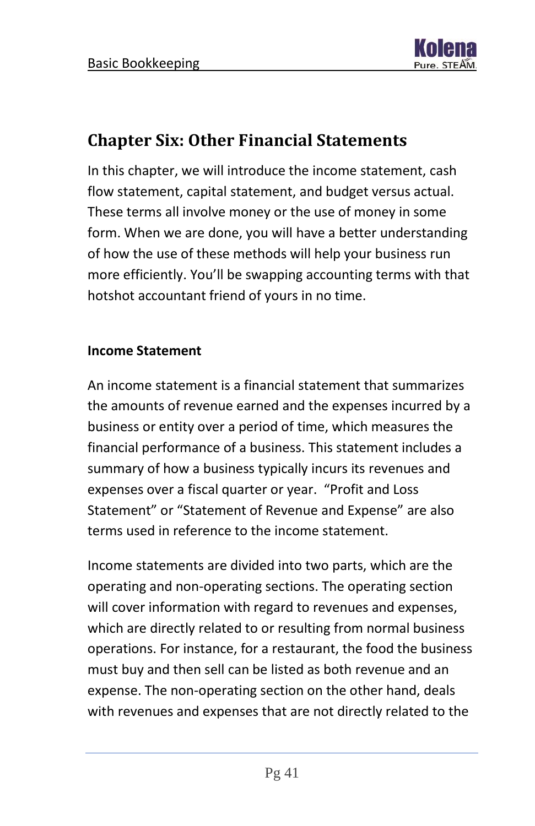

### <span id="page-41-0"></span>**Chapter Six: Other Financial Statements**

In this chapter, we will introduce the income statement, cash flow statement, capital statement, and budget versus actual. These terms all involve money or the use of money in some form. When we are done, you will have a better understanding of how the use of these methods will help your business run more efficiently. You'll be swapping accounting terms with that hotshot accountant friend of yours in no time.

#### **Income Statement**

An income statement is a financial statement that summarizes the amounts of revenue earned and the expenses incurred by a business or entity over a period of time, which measures the financial performance of a business. This statement includes a summary of how a business typically incurs its revenues and expenses over a fiscal quarter or year. "Profit and Loss Statement" or "Statement of Revenue and Expense" are also terms used in reference to the income statement.

Income statements are divided into two parts, which are the operating and non-operating sections. The operating section will cover information with regard to revenues and expenses, which are directly related to or resulting from normal business operations. For instance, for a restaurant, the food the business must buy and then sell can be listed as both revenue and an expense. The non-operating section on the other hand, deals with revenues and expenses that are not directly related to the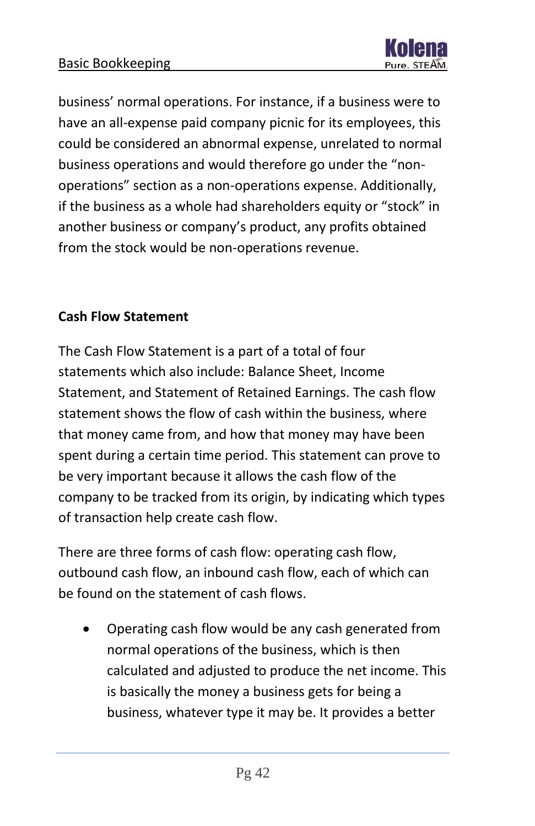

business' normal operations. For instance, if a business were to have an all-expense paid company picnic for its employees, this could be considered an abnormal expense, unrelated to normal business operations and would therefore go under the "nonoperations" section as a non-operations expense. Additionally, if the business as a whole had shareholders equity or "stock" in another business or company's product, any profits obtained from the stock would be non-operations revenue.

#### **Cash Flow Statement**

The Cash Flow Statement is a part of a total of four statements which also include: Balance Sheet, Income Statement, and Statement of Retained Earnings. The cash flow statement shows the flow of cash within the business, where that money came from, and how that money may have been spent during a certain time period. This statement can prove to be very important because it allows the cash flow of the company to be tracked from its origin, by indicating which types of transaction help create cash flow.

There are three forms of cash flow: operating cash flow, outbound cash flow, an inbound cash flow, each of which can be found on the statement of cash flows.

• Operating cash flow would be any cash generated from normal operations of the business, which is then calculated and adjusted to produce the net income. This is basically the money a business gets for being a business, whatever type it may be. It provides a better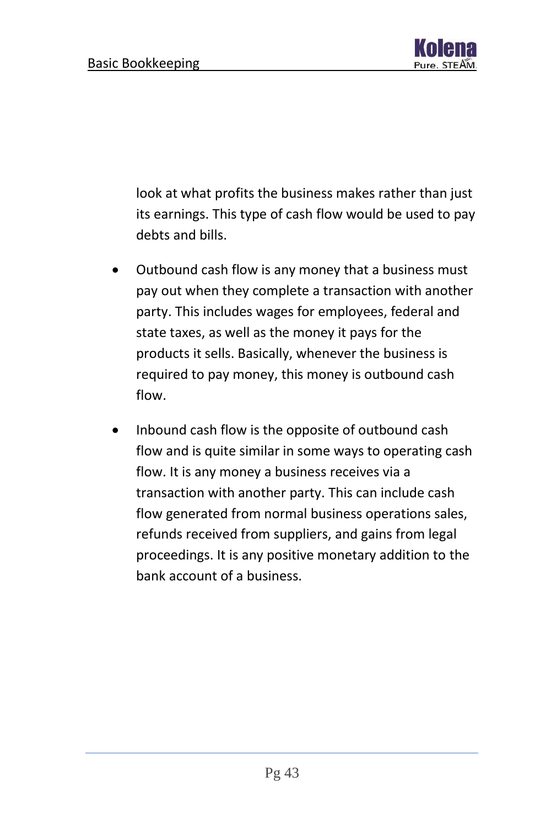

look at what profits the business makes rather than just its earnings. This type of cash flow would be used to pay debts and bills.

- Outbound cash flow is any money that a business must pay out when they complete a transaction with another party. This includes wages for employees, federal and state taxes, as well as the money it pays for the products it sells. Basically, whenever the business is required to pay money, this money is outbound cash flow.
- Inbound cash flow is the opposite of outbound cash flow and is quite similar in some ways to operating cash flow. It is any money a business receives via a transaction with another party. This can include cash flow generated from normal business operations sales, refunds received from suppliers, and gains from legal proceedings. It is any positive monetary addition to the bank account of a business.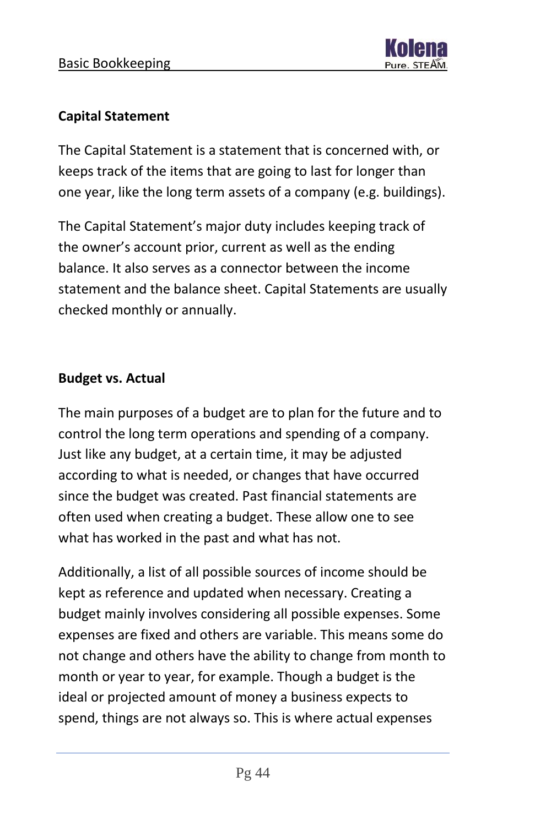#### **Capital Statement**

The Capital Statement is a statement that is concerned with, or keeps track of the items that are going to last for longer than one year, like the long term assets of a company (e.g. buildings).

The Capital Statement's major duty includes keeping track of the owner's account prior, current as well as the ending balance. It also serves as a connector between the income statement and the balance sheet. Capital Statements are usually checked monthly or annually.

#### **Budget vs. Actual**

The main purposes of a budget are to plan for the future and to control the long term operations and spending of a company. Just like any budget, at a certain time, it may be adjusted according to what is needed, or changes that have occurred since the budget was created. Past financial statements are often used when creating a budget. These allow one to see what has worked in the past and what has not.

Additionally, a list of all possible sources of income should be kept as reference and updated when necessary. Creating a budget mainly involves considering all possible expenses. Some expenses are fixed and others are variable. This means some do not change and others have the ability to change from month to month or year to year, for example. Though a budget is the ideal or projected amount of money a business expects to spend, things are not always so. This is where actual expenses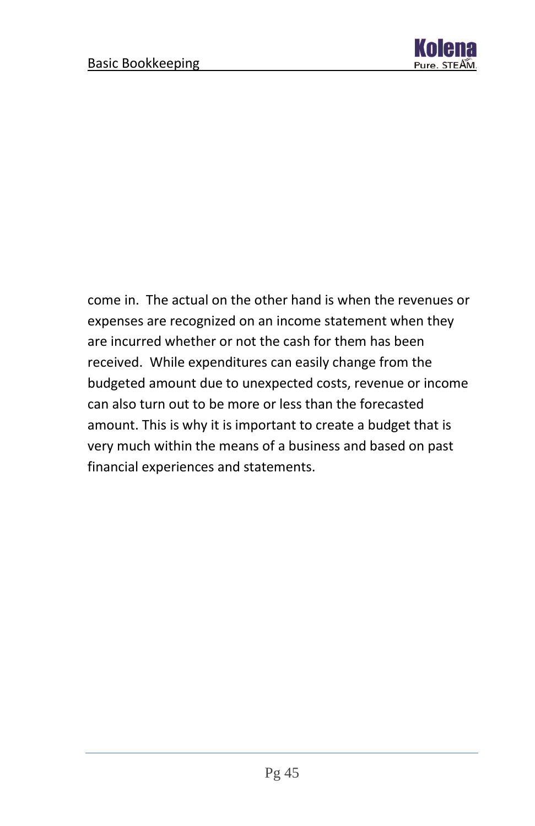

come in. The actual on the other hand is when the revenues or expenses are recognized on an income statement when they are incurred whether or not the cash for them has been received. While expenditures can easily change from the budgeted amount due to unexpected costs, revenue or income can also turn out to be more or less than the forecasted amount. This is why it is important to create a budget that is very much within the means of a business and based on past financial experiences and statements.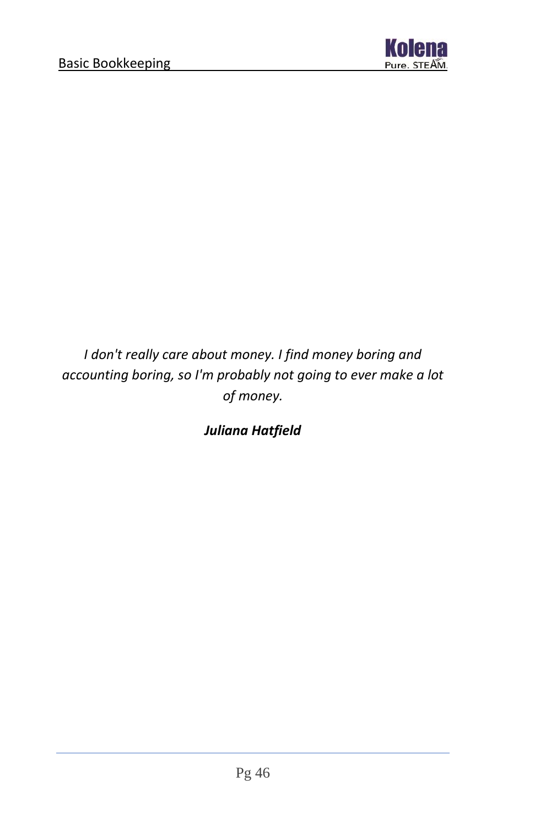

*I don't really care about money. I find money boring and accounting boring, so I'm probably not going to ever make a lot of money.*

*Juliana Hatfield*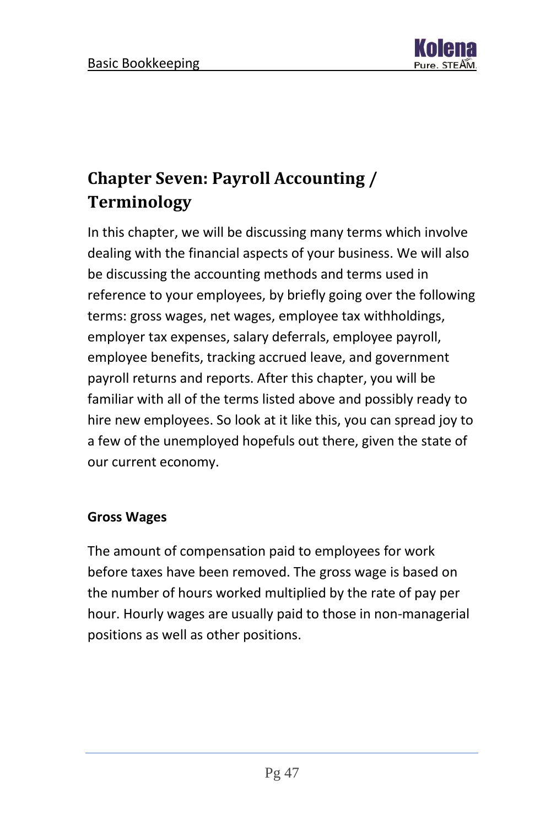

# <span id="page-47-0"></span>**Chapter Seven: Payroll Accounting / Terminology**

In this chapter, we will be discussing many terms which involve dealing with the financial aspects of your business. We will also be discussing the accounting methods and terms used in reference to your employees, by briefly going over the following terms: gross wages, net wages, employee tax withholdings, employer tax expenses, salary deferrals, employee payroll, employee benefits, tracking accrued leave, and government payroll returns and reports. After this chapter, you will be familiar with all of the terms listed above and possibly ready to hire new employees. So look at it like this, you can spread joy to a few of the unemployed hopefuls out there, given the state of our current economy.

#### **Gross Wages**

The amount of compensation paid to employees for work before taxes have been removed. The gross wage is based on the number of hours worked multiplied by the rate of pay per hour. Hourly wages are usually paid to those in non-managerial positions as well as other positions.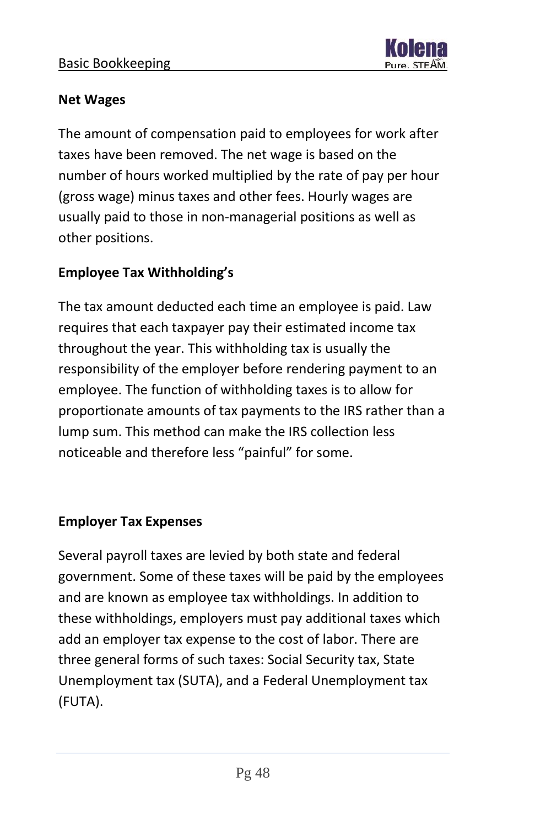

#### **Net Wages**

The amount of compensation paid to employees for work after taxes have been removed. The net wage is based on the number of hours worked multiplied by the rate of pay per hour (gross wage) minus taxes and other fees. Hourly wages are usually paid to those in non-managerial positions as well as other positions.

#### **Employee Tax Withholding's**

The tax amount deducted each time an employee is paid. Law requires that each taxpayer pay their estimated income tax throughout the year. This withholding tax is usually the responsibility of the employer before rendering payment to an employee. The function of withholding taxes is to allow for proportionate amounts of tax payments to the IRS rather than a lump sum. This method can make the IRS collection less noticeable and therefore less "painful" for some.

#### **Employer Tax Expenses**

Several payroll taxes are levied by both state and federal government. Some of these taxes will be paid by the employees and are known as employee tax withholdings. In addition to these withholdings, employers must pay additional taxes which add an employer tax expense to the cost of labor. There are three general forms of such taxes: Social Security tax, State Unemployment tax (SUTA), and a Federal Unemployment tax (FUTA).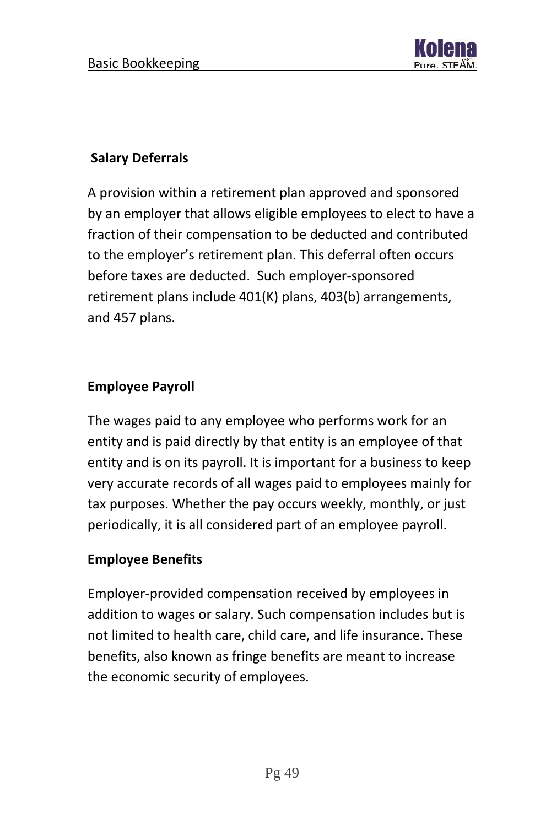

#### **Salary Deferrals**

A provision within a retirement plan approved and sponsored by an employer that allows eligible employees to elect to have a fraction of their compensation to be deducted and contributed to the employer's retirement plan. This deferral often occurs before taxes are deducted. Such employer-sponsored retirement plans include 401(K) plans, 403(b) arrangements, and 457 plans.

#### **Employee Payroll**

The wages paid to any employee who performs work for an entity and is paid directly by that entity is an employee of that entity and is on its payroll. It is important for a business to keep very accurate records of all wages paid to employees mainly for tax purposes. Whether the pay occurs weekly, monthly, or just periodically, it is all considered part of an employee payroll.

#### **Employee Benefits**

Employer-provided compensation received by employees in addition to wages or salary. Such compensation includes but is not limited to health care, child care, and life insurance. These benefits, also known as fringe benefits are meant to increase the economic security of employees.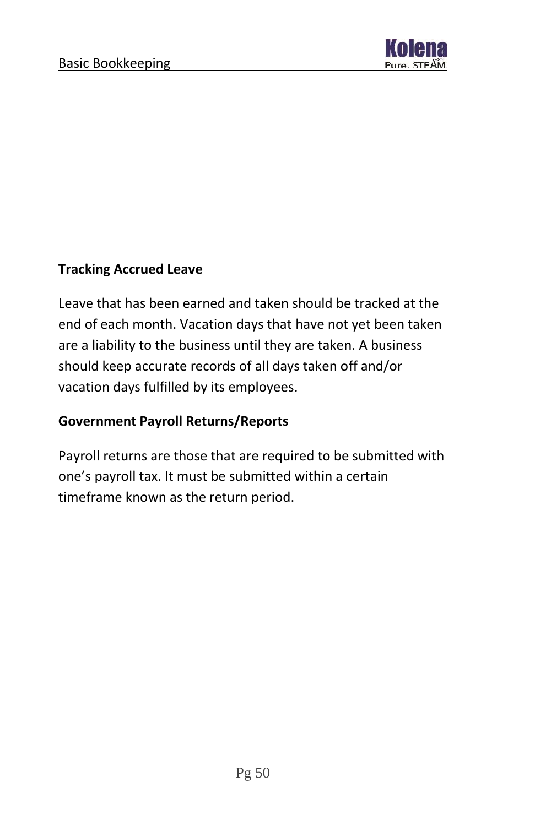

#### **Tracking Accrued Leave**

Leave that has been earned and taken should be tracked at the end of each month. Vacation days that have not yet been taken are a liability to the business until they are taken. A business should keep accurate records of all days taken off and/or vacation days fulfilled by its employees.

#### **Government Payroll Returns/Reports**

Payroll returns are those that are required to be submitted with one's payroll tax. It must be submitted within a certain timeframe known as the return period.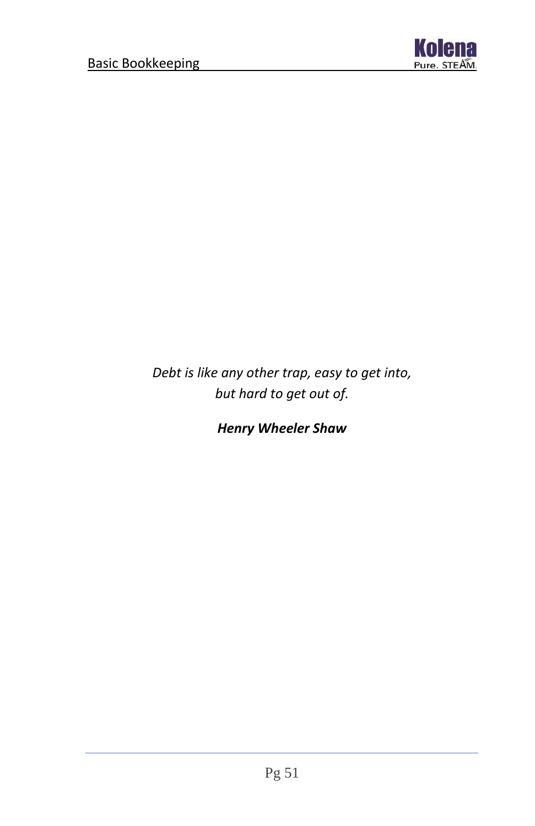

*Debt is like any other trap, easy to get into, but hard to get out of.*

*Henry Wheeler Shaw*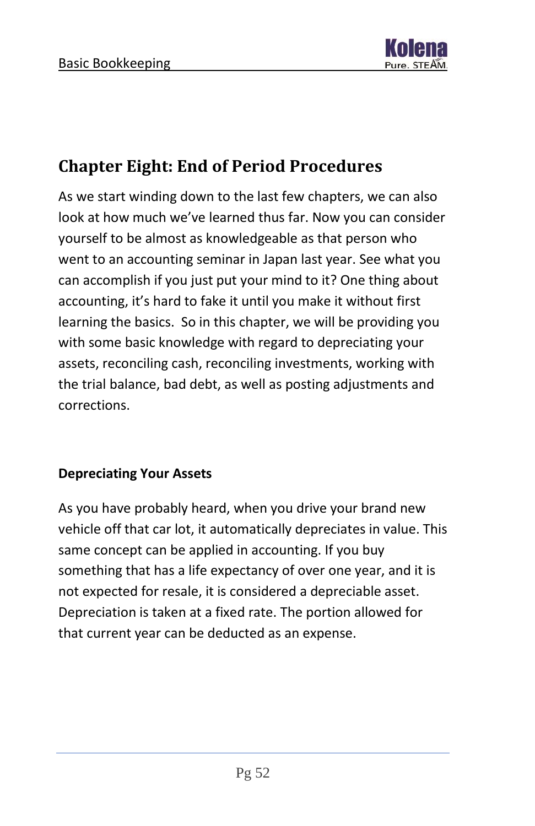

### <span id="page-52-0"></span>**Chapter Eight: End of Period Procedures**

As we start winding down to the last few chapters, we can also look at how much we've learned thus far. Now you can consider yourself to be almost as knowledgeable as that person who went to an accounting seminar in Japan last year. See what you can accomplish if you just put your mind to it? One thing about accounting, it's hard to fake it until you make it without first learning the basics. So in this chapter, we will be providing you with some basic knowledge with regard to depreciating your assets, reconciling cash, reconciling investments, working with the trial balance, bad debt, as well as posting adjustments and corrections.

#### **Depreciating Your Assets**

As you have probably heard, when you drive your brand new vehicle off that car lot, it automatically depreciates in value. This same concept can be applied in accounting. If you buy something that has a life expectancy of over one year, and it is not expected for resale, it is considered a depreciable asset. Depreciation is taken at a fixed rate. The portion allowed for that current year can be deducted as an expense.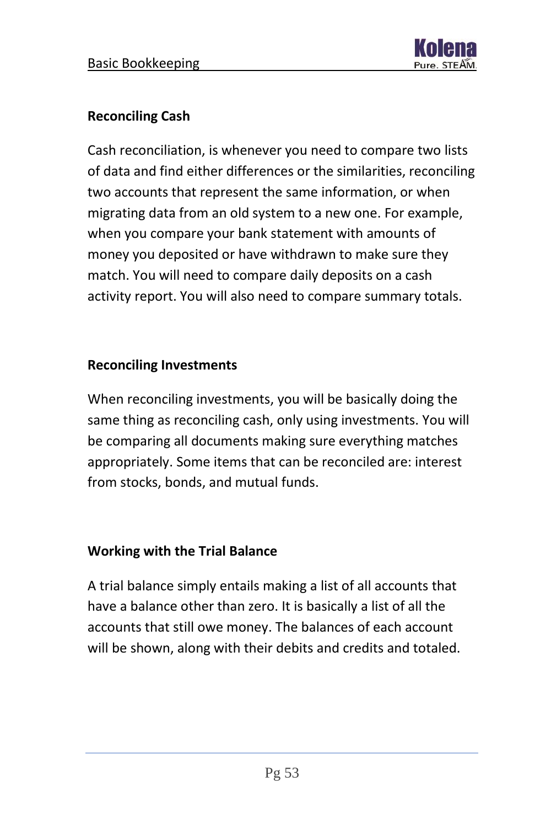

#### **Reconciling Cash**

Cash reconciliation, is whenever you need to compare two lists of data and find either differences or the similarities, reconciling two accounts that represent the same information, or when migrating data from an old system to a new one. For example, when you compare your bank statement with amounts of money you deposited or have withdrawn to make sure they match. You will need to compare daily deposits on a cash activity report. You will also need to compare summary totals.

#### **Reconciling Investments**

When reconciling investments, you will be basically doing the same thing as reconciling cash, only using investments. You will be comparing all documents making sure everything matches appropriately. Some items that can be reconciled are: interest from stocks, bonds, and mutual funds.

#### **Working with the Trial Balance**

A trial balance simply entails making a list of all accounts that have a balance other than zero. It is basically a list of all the accounts that still owe money. The balances of each account will be shown, along with their debits and credits and totaled.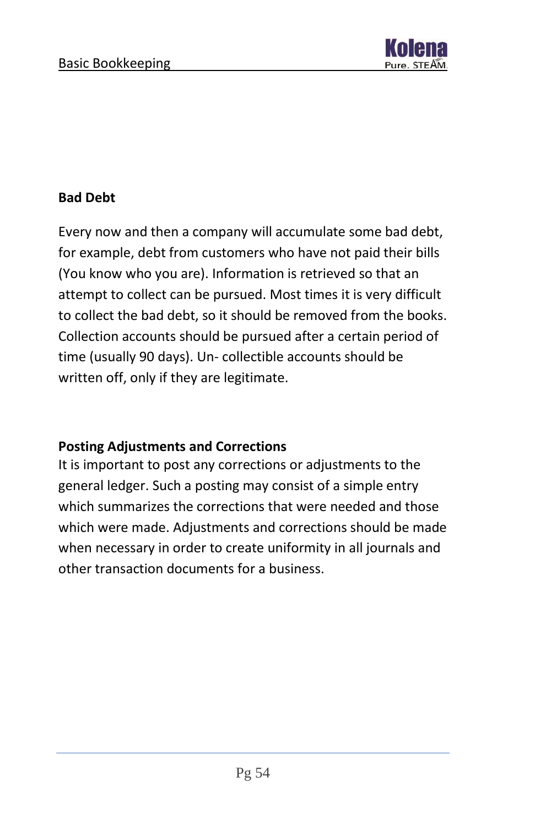

#### **Bad Debt**

Every now and then a company will accumulate some bad debt, for example, debt from customers who have not paid their bills (You know who you are). Information is retrieved so that an attempt to collect can be pursued. Most times it is very difficult to collect the bad debt, so it should be removed from the books. Collection accounts should be pursued after a certain period of time (usually 90 days). Un- collectible accounts should be written off, only if they are legitimate.

#### **Posting Adjustments and Corrections**

It is important to post any corrections or adjustments to the general ledger. Such a posting may consist of a simple entry which summarizes the corrections that were needed and those which were made. Adjustments and corrections should be made when necessary in order to create uniformity in all journals and other transaction documents for a business.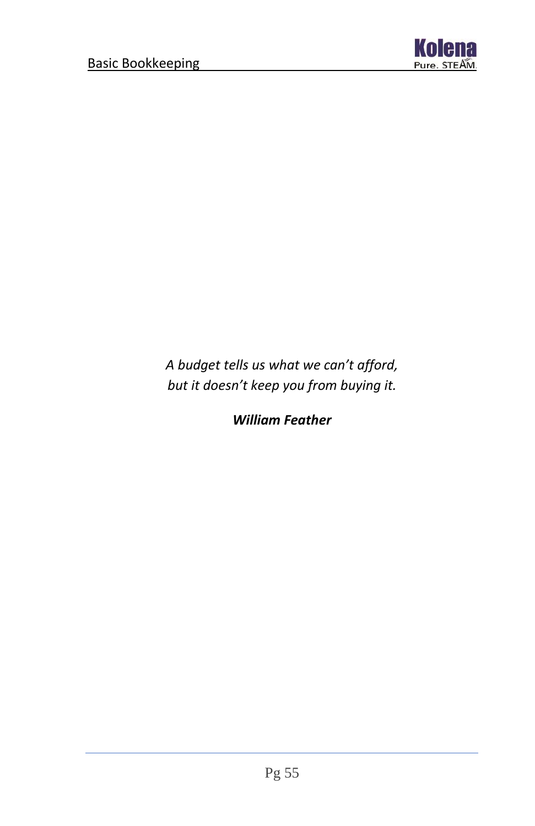

*A budget tells us what we can't afford, but it doesn't keep you from buying it.*

*William Feather*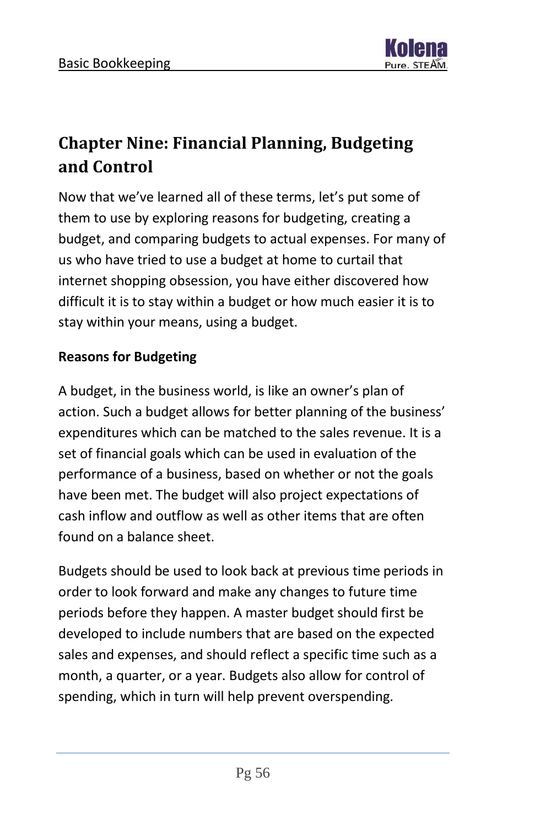

# <span id="page-56-0"></span>**Chapter Nine: Financial Planning, Budgeting and Control**

Now that we've learned all of these terms, let's put some of them to use by exploring reasons for budgeting, creating a budget, and comparing budgets to actual expenses. For many of us who have tried to use a budget at home to curtail that internet shopping obsession, you have either discovered how difficult it is to stay within a budget or how much easier it is to stay within your means, using a budget.

#### **Reasons for Budgeting**

A budget, in the business world, is like an owner's plan of action. Such a budget allows for better planning of the business' expenditures which can be matched to the sales revenue. It is a set of financial goals which can be used in evaluation of the performance of a business, based on whether or not the goals have been met. The budget will also project expectations of cash inflow and outflow as well as other items that are often found on a balance sheet.

Budgets should be used to look back at previous time periods in order to look forward and make any changes to future time periods before they happen. A master budget should first be developed to include numbers that are based on the expected sales and expenses, and should reflect a specific time such as a month, a quarter, or a year. Budgets also allow for control of spending, which in turn will help prevent overspending.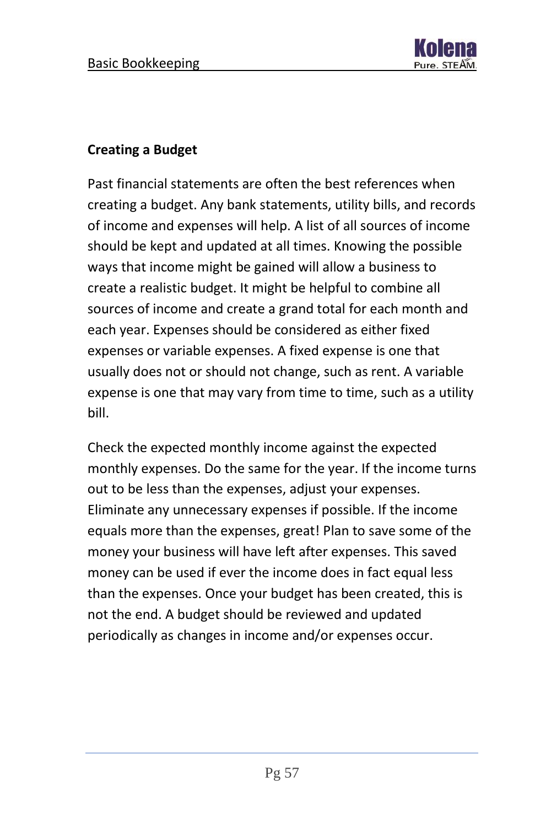

#### **Creating a Budget**

Past financial statements are often the best references when creating a budget. Any bank statements, utility bills, and records of income and expenses will help. A list of all sources of income should be kept and updated at all times. Knowing the possible ways that income might be gained will allow a business to create a realistic budget. It might be helpful to combine all sources of income and create a grand total for each month and each year. Expenses should be considered as either fixed expenses or variable expenses. A fixed expense is one that usually does not or should not change, such as rent. A variable expense is one that may vary from time to time, such as a utility bill.

Check the expected monthly income against the expected monthly expenses. Do the same for the year. If the income turns out to be less than the expenses, adjust your expenses. Eliminate any unnecessary expenses if possible. If the income equals more than the expenses, great! Plan to save some of the money your business will have left after expenses. This saved money can be used if ever the income does in fact equal less than the expenses. Once your budget has been created, this is not the end. A budget should be reviewed and updated periodically as changes in income and/or expenses occur.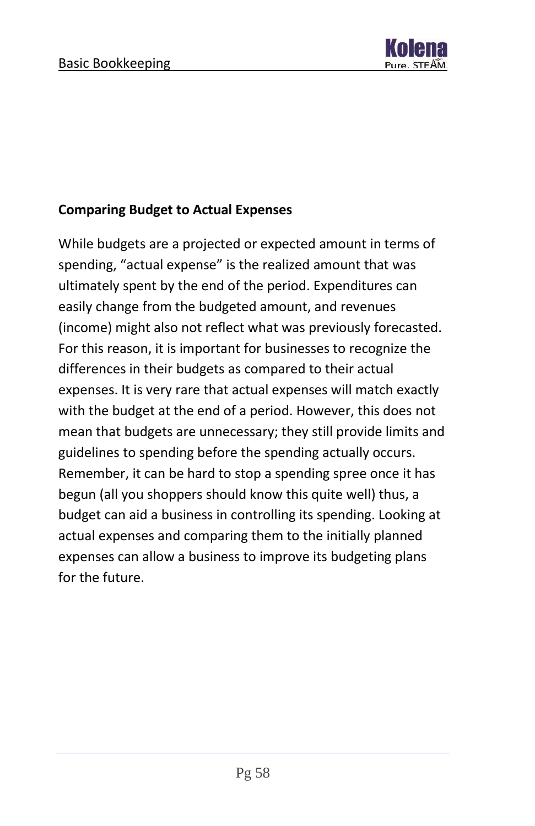

#### **Comparing Budget to Actual Expenses**

While budgets are a projected or expected amount in terms of spending, "actual expense" is the realized amount that was ultimately spent by the end of the period. Expenditures can easily change from the budgeted amount, and revenues (income) might also not reflect what was previously forecasted. For this reason, it is important for businesses to recognize the differences in their budgets as compared to their actual expenses. It is very rare that actual expenses will match exactly with the budget at the end of a period. However, this does not mean that budgets are unnecessary; they still provide limits and guidelines to spending before the spending actually occurs. Remember, it can be hard to stop a spending spree once it has begun (all you shoppers should know this quite well) thus, a budget can aid a business in controlling its spending. Looking at actual expenses and comparing them to the initially planned expenses can allow a business to improve its budgeting plans for the future.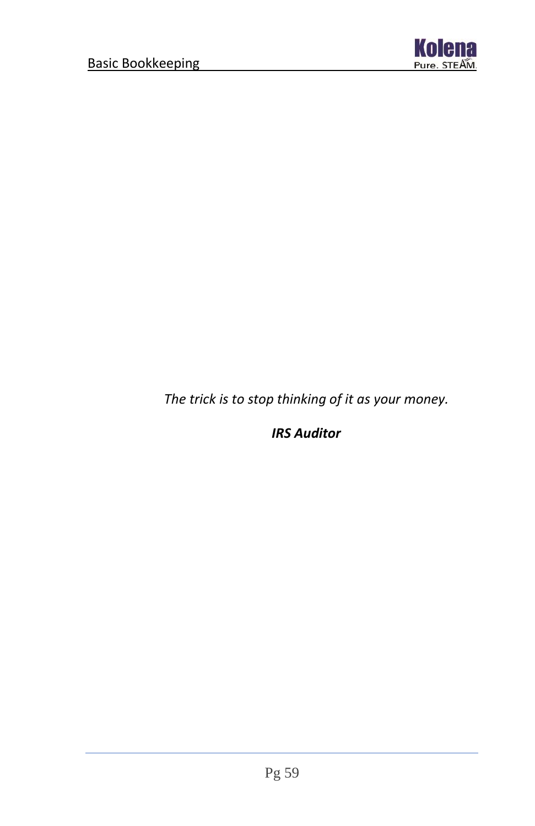

*The trick is to stop thinking of it as your money.*

*IRS Auditor*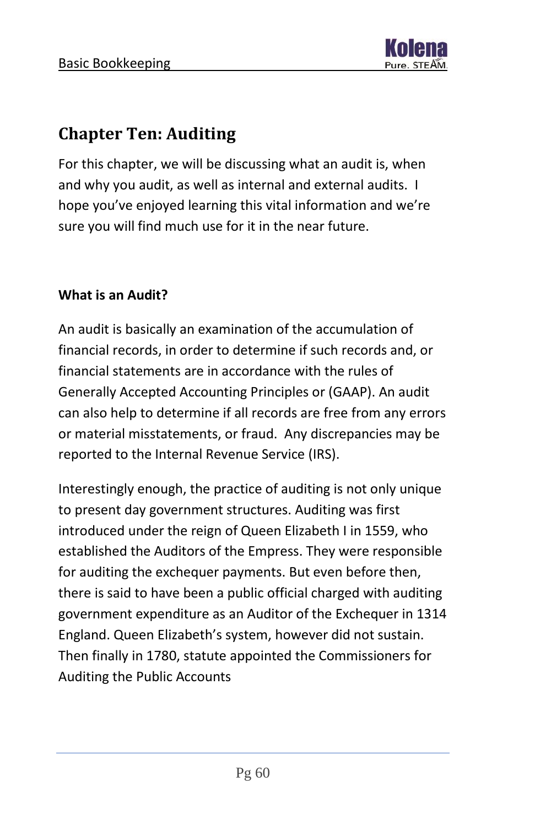### <span id="page-60-0"></span>**Chapter Ten: Auditing**

For this chapter, we will be discussing what an audit is, when and why you audit, as well as internal and external audits. I hope you've enjoyed learning this vital information and we're sure you will find much use for it in the near future.

#### **What is an Audit?**

An audit is basically an examination of the accumulation of financial records, in order to determine if such records and, or financial statements are in accordance with the rules of Generally Accepted Accounting Principles or (GAAP). An audit can also help to determine if all records are free from any errors or material misstatements, or fraud. Any discrepancies may be reported to the Internal Revenue Service (IRS).

Interestingly enough, the practice of auditing is not only unique to present day government structures. Auditing was first introduced under the reign of Queen Elizabeth I in 1559, who established the Auditors of the Empress. They were responsible for auditing the exchequer payments. But even before then, there is said to have been a public official charged with auditing government expenditure as an Auditor of the Exchequer in 1314 England. Queen Elizabeth's system, however did not sustain. Then finally in 1780, statute appointed the Commissioners for Auditing the Public Accounts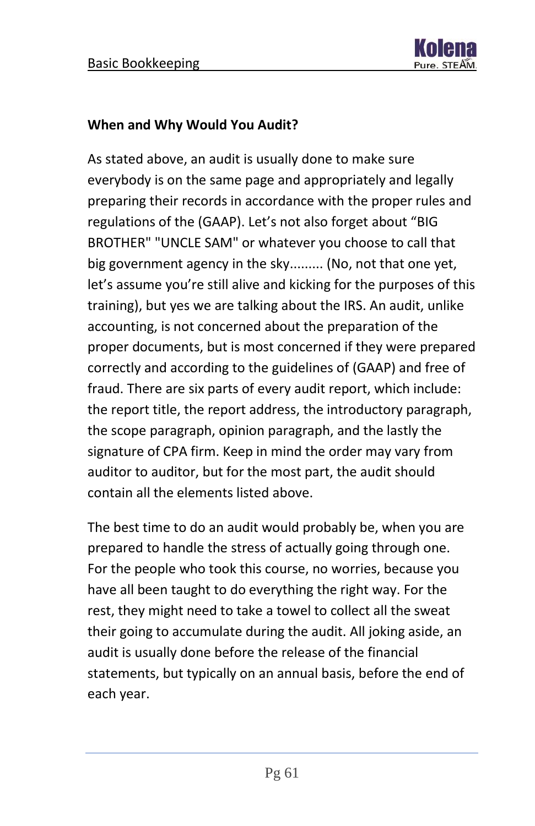

#### **When and Why Would You Audit?**

As stated above, an audit is usually done to make sure everybody is on the same page and appropriately and legally preparing their records in accordance with the proper rules and regulations of the (GAAP). Let's not also forget about "BIG BROTHER" "UNCLE SAM" or whatever you choose to call that big government agency in the sky......... (No, not that one yet, let's assume you're still alive and kicking for the purposes of this training), but yes we are talking about the IRS. An audit, unlike accounting, is not concerned about the preparation of the proper documents, but is most concerned if they were prepared correctly and according to the guidelines of (GAAP) and free of fraud. There are six parts of every audit report, which include: the report title, the report address, the introductory paragraph, the scope paragraph, opinion paragraph, and the lastly the signature of CPA firm. Keep in mind the order may vary from auditor to auditor, but for the most part, the audit should contain all the elements listed above.

The best time to do an audit would probably be, when you are prepared to handle the stress of actually going through one. For the people who took this course, no worries, because you have all been taught to do everything the right way. For the rest, they might need to take a towel to collect all the sweat their going to accumulate during the audit. All joking aside, an audit is usually done before the release of the financial statements, but typically on an annual basis, before the end of each year.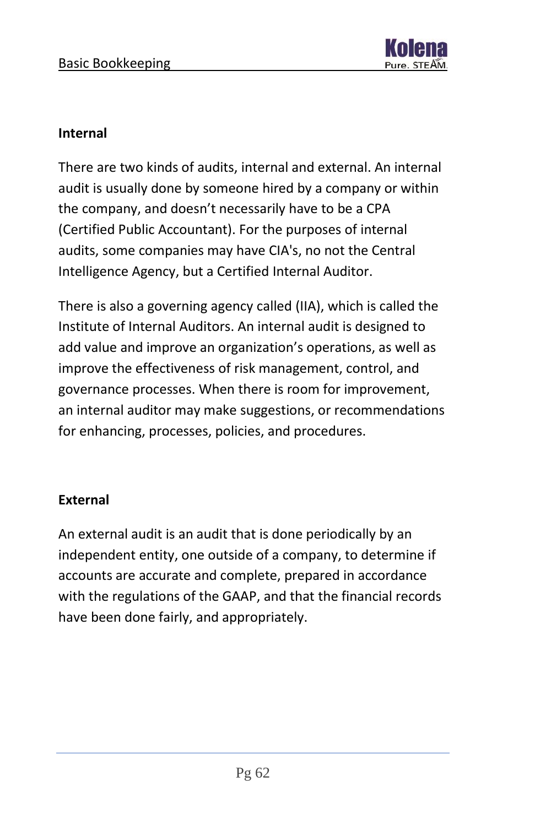

#### **Internal**

There are two kinds of audits, internal and external. An internal audit is usually done by someone hired by a company or within the company, and doesn't necessarily have to be a CPA (Certified Public Accountant). For the purposes of internal audits, some companies may have CIA's, no not the Central Intelligence Agency, but a Certified Internal Auditor.

There is also a governing agency called (IIA), which is called the Institute of Internal Auditors. An internal audit is designed to add value and improve an organization's operations, as well as improve the effectiveness of risk management, control, and governance processes. When there is room for improvement, an internal auditor may make suggestions, or recommendations for enhancing, processes, policies, and procedures.

#### **External**

An external audit is an audit that is done periodically by an independent entity, one outside of a company, to determine if accounts are accurate and complete, prepared in accordance with the regulations of the GAAP, and that the financial records have been done fairly, and appropriately.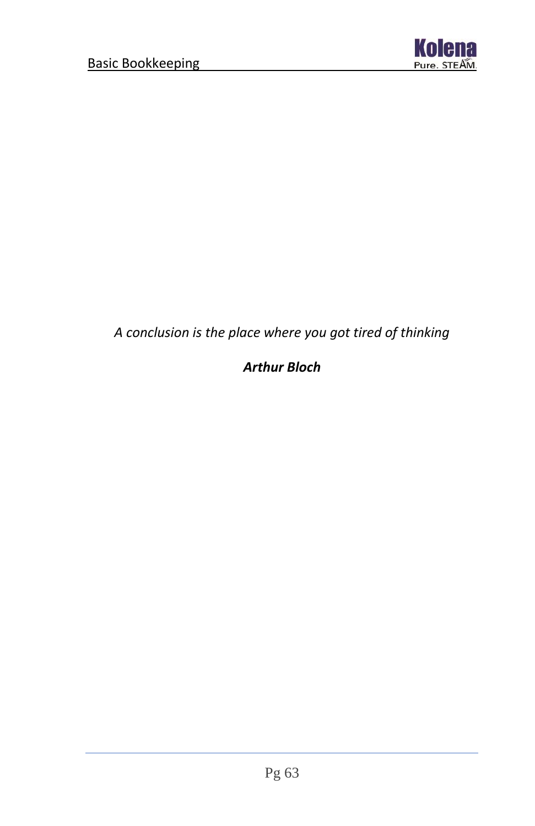

### *A conclusion is the place where you got tired of thinking*

### *Arthur Bloch*